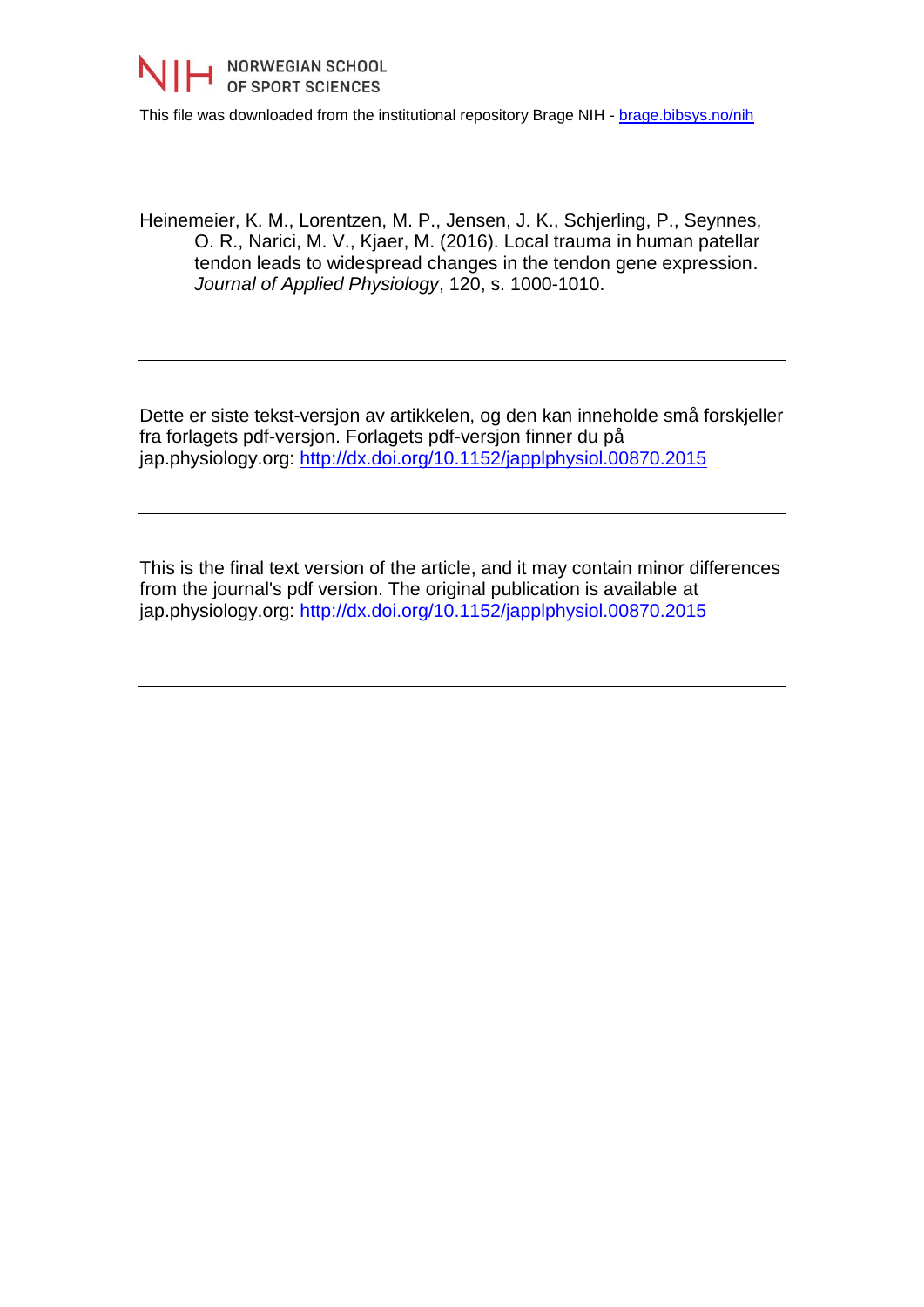

This file was downloaded from the institutional repository Brage NIH - [brage.bibsys.no/nih](http://brage.bibsys.no/nih)

Heinemeier, K. M., Lorentzen, M. P., Jensen, J. K., Schjerling, P., Seynnes, O. R., Narici, M. V., Kjaer, M. (2016). Local trauma in human patellar tendon leads to widespread changes in the tendon gene expression. *Journal of Applied Physiology*, 120, s. 1000-1010.

Dette er siste tekst-versjon av artikkelen, og den kan inneholde små forskjeller fra forlagets pdf-versjon. Forlagets pdf-versjon finner du på jap.physiology.org:<http://dx.doi.org/10.1152/japplphysiol.00870.2015>

This is the final text version of the article, and it may contain minor differences from the journal's pdf version. The original publication is available at jap.physiology.org:<http://dx.doi.org/10.1152/japplphysiol.00870.2015>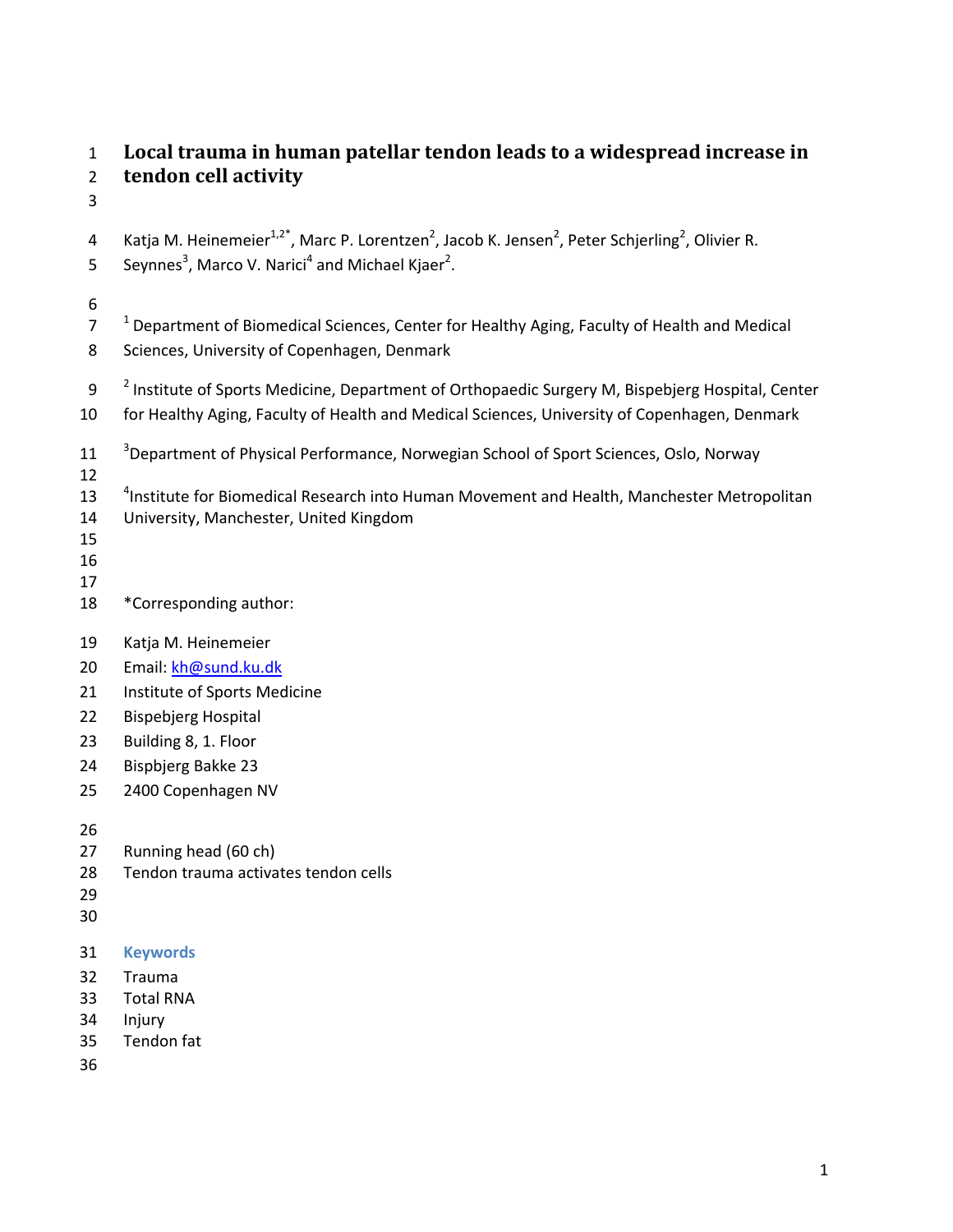# 1 **Local trauma in human patellar tendon leads to a widespread increase in**  2 **tendon cell activity**

3

- 4 Katja M. Heinemeier<sup>1,2\*</sup>, Marc P. Lorentzen<sup>2</sup>, Jacob K. Jensen<sup>2</sup>, Peter Schjerling<sup>2</sup>, Olivier R.
- 5 Seynnes<sup>3</sup>, Marco V. Narici<sup>4</sup> and Michael Kjaer<sup>2</sup>.

# 6

- $10^{-1}$  Department of Biomedical Sciences, Center for Healthy Aging, Faculty of Health and Medical
- 8 Sciences, University of Copenhagen, Denmark
- 9 <sup>2</sup> Institute of Sports Medicine, Department of Orthopaedic Surgery M, Bispebjerg Hospital, Center
- 10 for Healthy Aging, Faculty of Health and Medical Sciences, University of Copenhagen, Denmark
- <sup>3</sup> Department of Physical Performance, Norwegian School of Sport Sciences, Oslo, Norway
- 12
- 13 <sup>4</sup> Institute for Biomedical Research into Human Movement and Health, Manchester Metropolitan
- 14 University, Manchester, United Kingdom
- 15
- 16 17
- 18 \*Corresponding author:
- 19 Katja M. Heinemeier
- 20 Email: kh@sund.ku.dk
- 21 Institute of Sports Medicine
- 22 Bispebjerg Hospital
- 23 Building 8, 1. Floor
- 24 Bispbjerg Bakke 23
- 25 2400 Copenhagen NV

26

- 27 Running head (60 ch)
- 28 Tendon trauma activates tendon cells
- 29
- 30
- 31 **Keywords**
- 32 Trauma
- 33 Total RNA
- 34 Injury
- 35 Tendon fat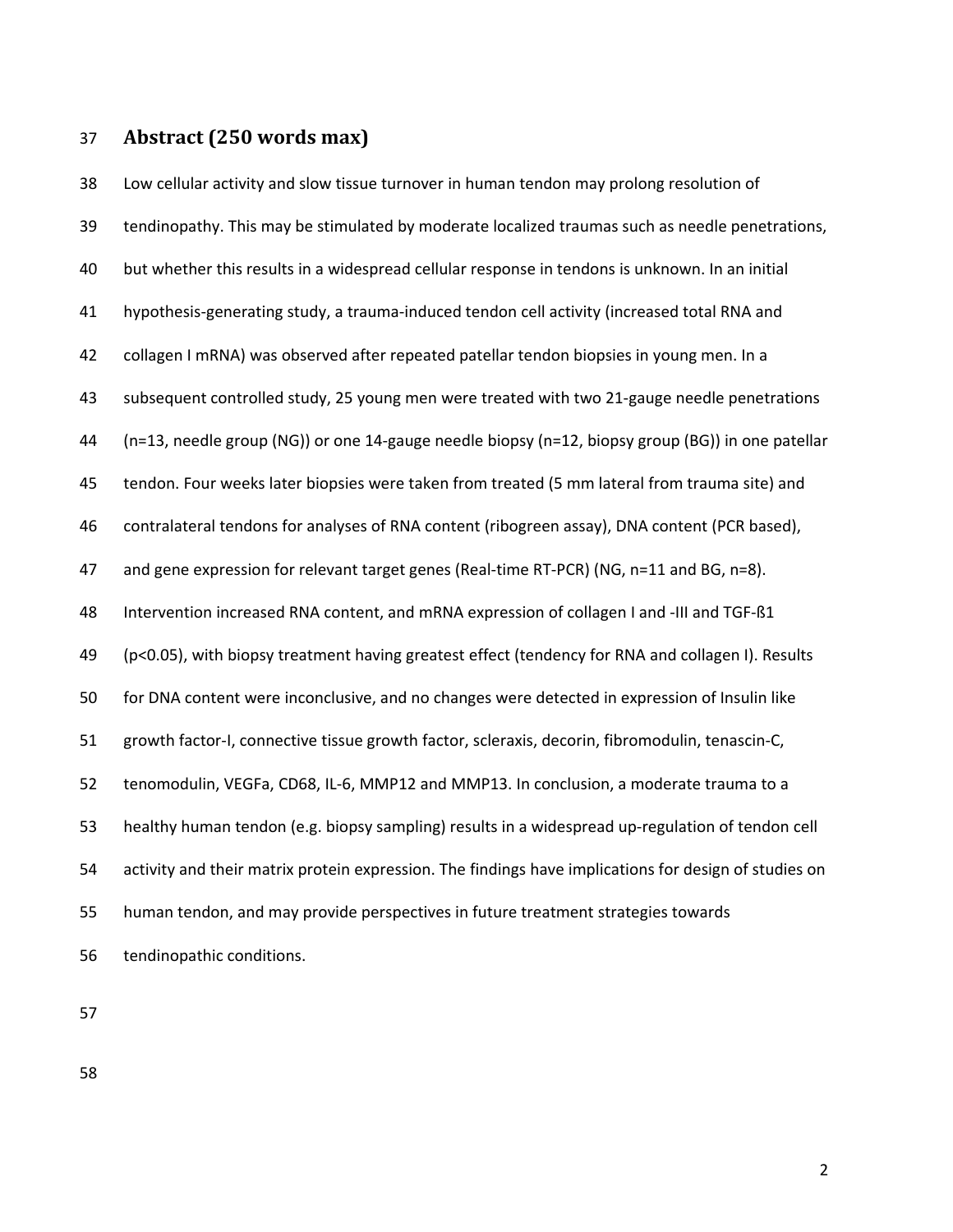# 37 **Abstract (250 words max)**

38 Low cellular activity and slow tissue turnover in human tendon may prolong resolution of 39 tendinopathy. This may be stimulated by moderate localized traumas such as needle penetrations, 40 but whether this results in a widespread cellular response in tendons is unknown. In an initial 41 hypothesis-generating study, a trauma-induced tendon cell activity (increased total RNA and 42 collagen I mRNA) was observed after repeated patellar tendon biopsies in young men. In a 43 subsequent controlled study, 25 young men were treated with two 21-gauge needle penetrations 44 (n=13, needle group (NG)) or one 14-gauge needle biopsy (n=12, biopsy group (BG)) in one patellar 45 tendon. Four weeks later biopsies were taken from treated (5 mm lateral from trauma site) and 46 contralateral tendons for analyses of RNA content (ribogreen assay), DNA content (PCR based), 47 and gene expression for relevant target genes (Real-time RT-PCR) (NG, n=11 and BG, n=8). 48 Intervention increased RNA content, and mRNA expression of collagen I and -III and TGF-ß1 49 (p<0.05), with biopsy treatment having greatest effect (tendency for RNA and collagen I). Results 50 for DNA content were inconclusive, and no changes were detected in expression of Insulin like 51 growth factor-I, connective tissue growth factor, scleraxis, decorin, fibromodulin, tenascin-C, 52 tenomodulin, VEGFa, CD68, IL-6, MMP12 and MMP13. In conclusion, a moderate trauma to a 53 healthy human tendon (e.g. biopsy sampling) results in a widespread up-regulation of tendon cell 54 activity and their matrix protein expression. The findings have implications for design of studies on 55 human tendon, and may provide perspectives in future treatment strategies towards 56 tendinopathic conditions.

57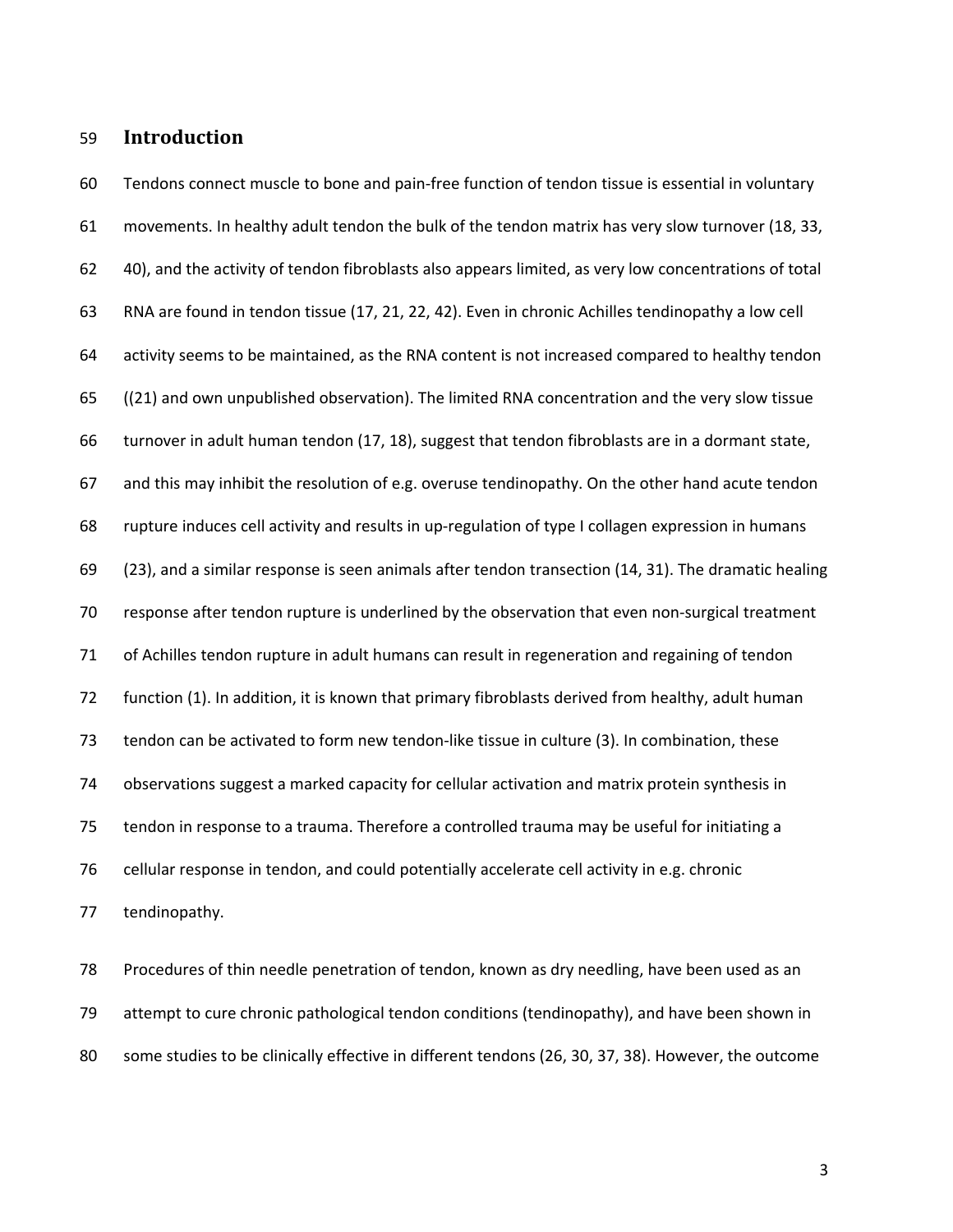# 59 **Introduction**

60 Tendons connect muscle to bone and pain-free function of tendon tissue is essential in voluntary 61 movements. In healthy adult tendon the bulk of the tendon matrix has very slow turnover (18, 33, 62 40), and the activity of tendon fibroblasts also appears limited, as very low concentrations of total 63 RNA are found in tendon tissue (17, 21, 22, 42). Even in chronic Achilles tendinopathy a low cell 64 activity seems to be maintained, as the RNA content is not increased compared to healthy tendon 65 ((21) and own unpublished observation). The limited RNA concentration and the very slow tissue 66 turnover in adult human tendon (17, 18), suggest that tendon fibroblasts are in a dormant state, 67 and this may inhibit the resolution of e.g. overuse tendinopathy. On the other hand acute tendon 68 rupture induces cell activity and results in up-regulation of type I collagen expression in humans 69 (23), and a similar response is seen animals after tendon transection (14, 31). The dramatic healing 70 response after tendon rupture is underlined by the observation that even non-surgical treatment 71 of Achilles tendon rupture in adult humans can result in regeneration and regaining of tendon 72 function (1). In addition, it is known that primary fibroblasts derived from healthy, adult human 73 tendon can be activated to form new tendon-like tissue in culture (3). In combination, these 74 observations suggest a marked capacity for cellular activation and matrix protein synthesis in 75 tendon in response to a trauma. Therefore a controlled trauma may be useful for initiating a 76 cellular response in tendon, and could potentially accelerate cell activity in e.g. chronic 77 tendinopathy.

78 Procedures of thin needle penetration of tendon, known as dry needling, have been used as an 79 attempt to cure chronic pathological tendon conditions (tendinopathy), and have been shown in 80 some studies to be clinically effective in different tendons (26, 30, 37, 38). However, the outcome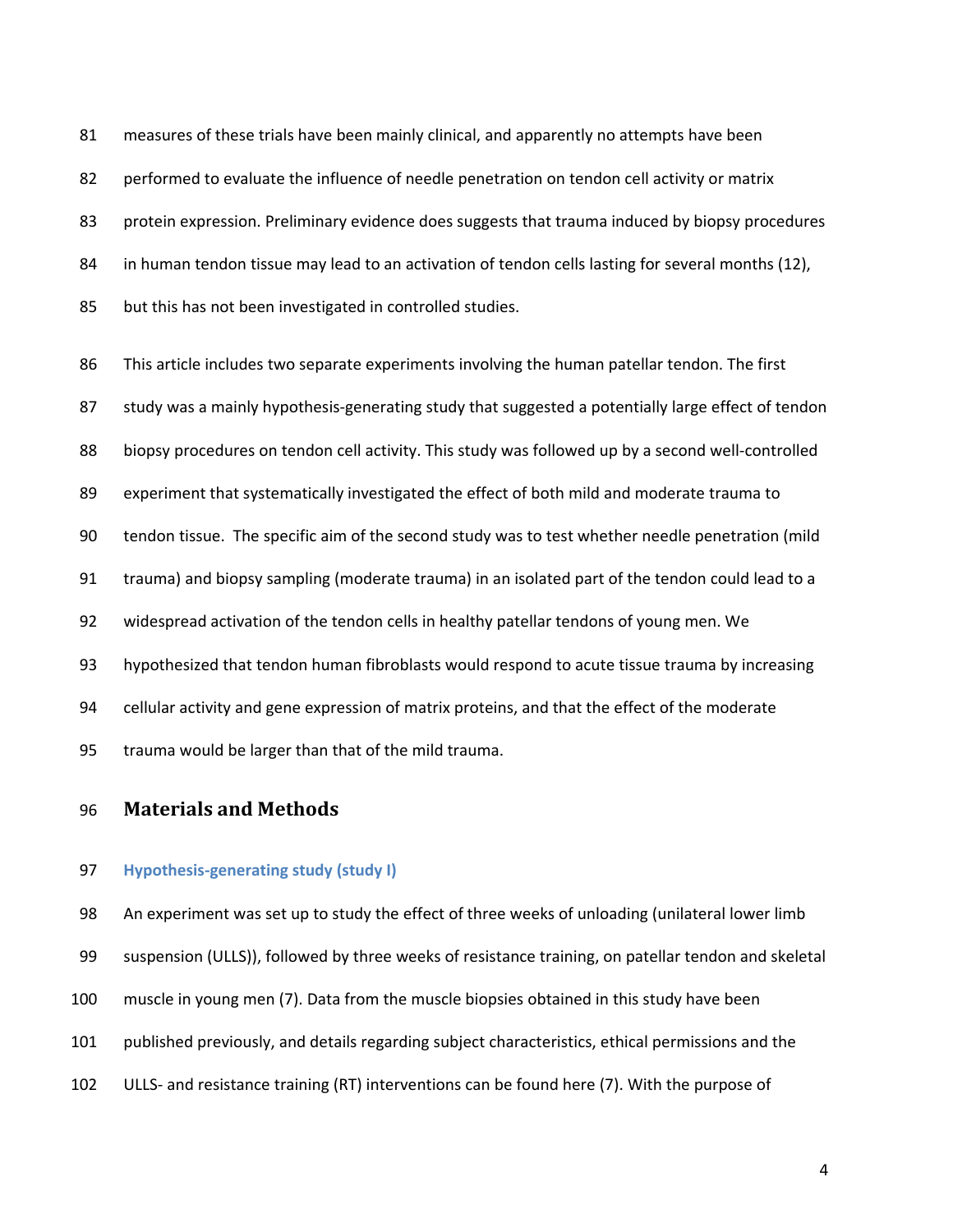81 measures of these trials have been mainly clinical, and apparently no attempts have been 82 performed to evaluate the influence of needle penetration on tendon cell activity or matrix 83 protein expression. Preliminary evidence does suggests that trauma induced by biopsy procedures 84 in human tendon tissue may lead to an activation of tendon cells lasting for several months (12), 85 but this has not been investigated in controlled studies.

86 This article includes two separate experiments involving the human patellar tendon. The first 87 study was a mainly hypothesis-generating study that suggested a potentially large effect of tendon 88 biopsy procedures on tendon cell activity. This study was followed up by a second well-controlled 89 experiment that systematically investigated the effect of both mild and moderate trauma to 90 tendon tissue. The specific aim of the second study was to test whether needle penetration (mild 91 trauma) and biopsy sampling (moderate trauma) in an isolated part of the tendon could lead to a 92 widespread activation of the tendon cells in healthy patellar tendons of young men. We 93 hypothesized that tendon human fibroblasts would respond to acute tissue trauma by increasing 94 cellular activity and gene expression of matrix proteins, and that the effect of the moderate 95 trauma would be larger than that of the mild trauma.

# 96 **Materials and Methods**

### 97 **Hypothesis-generating study (study I)**

98 An experiment was set up to study the effect of three weeks of unloading (unilateral lower limb 99 suspension (ULLS)), followed by three weeks of resistance training, on patellar tendon and skeletal 100 muscle in young men (7). Data from the muscle biopsies obtained in this study have been 101 published previously, and details regarding subject characteristics, ethical permissions and the 102 ULLS- and resistance training (RT) interventions can be found here (7). With the purpose of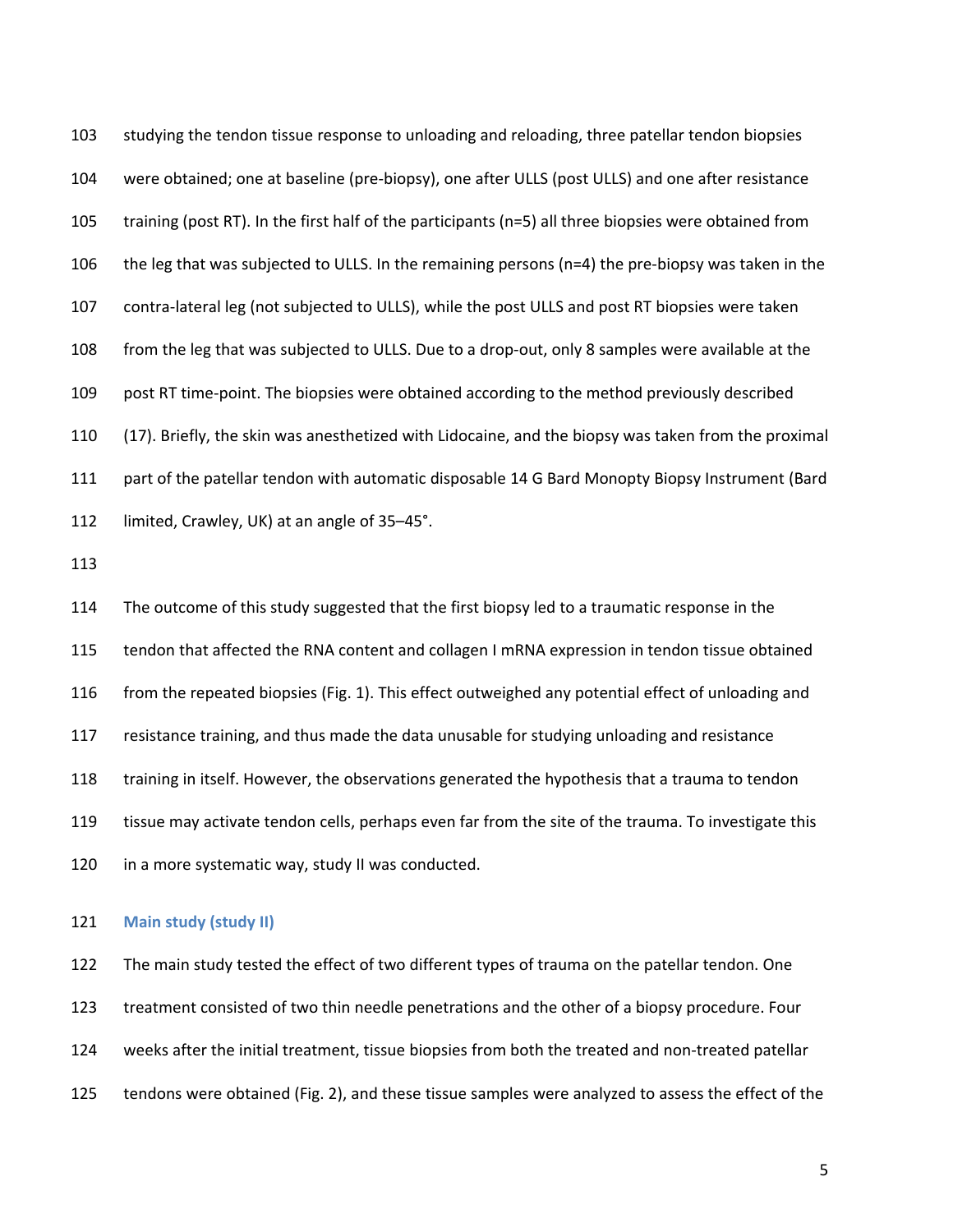103 studying the tendon tissue response to unloading and reloading, three patellar tendon biopsies 104 were obtained; one at baseline (pre-biopsy), one after ULLS (post ULLS) and one after resistance 105 training (post RT). In the first half of the participants (n=5) all three biopsies were obtained from 106 the leg that was subjected to ULLS. In the remaining persons (n=4) the pre-biopsy was taken in the 107 contra-lateral leg (not subjected to ULLS), while the post ULLS and post RT biopsies were taken 108 from the leg that was subjected to ULLS. Due to a drop-out, only 8 samples were available at the 109 post RT time-point. The biopsies were obtained according to the method previously described 110 (17). Briefly, the skin was anesthetized with Lidocaine, and the biopsy was taken from the proximal 111 part of the patellar tendon with automatic disposable 14 G Bard Monopty Biopsy Instrument (Bard 112 limited, Crawley, UK) at an angle of 35–45°.

113

114 The outcome of this study suggested that the first biopsy led to a traumatic response in the 115 tendon that affected the RNA content and collagen I mRNA expression in tendon tissue obtained 116 from the repeated biopsies (Fig. 1). This effect outweighed any potential effect of unloading and 117 resistance training, and thus made the data unusable for studying unloading and resistance 118 training in itself. However, the observations generated the hypothesis that a trauma to tendon 119 tissue may activate tendon cells, perhaps even far from the site of the trauma. To investigate this 120 in a more systematic way, study II was conducted.

### 121 **Main study (study II)**

122 The main study tested the effect of two different types of trauma on the patellar tendon. One 123 treatment consisted of two thin needle penetrations and the other of a biopsy procedure. Four 124 weeks after the initial treatment, tissue biopsies from both the treated and non-treated patellar 125 tendons were obtained (Fig. 2), and these tissue samples were analyzed to assess the effect of the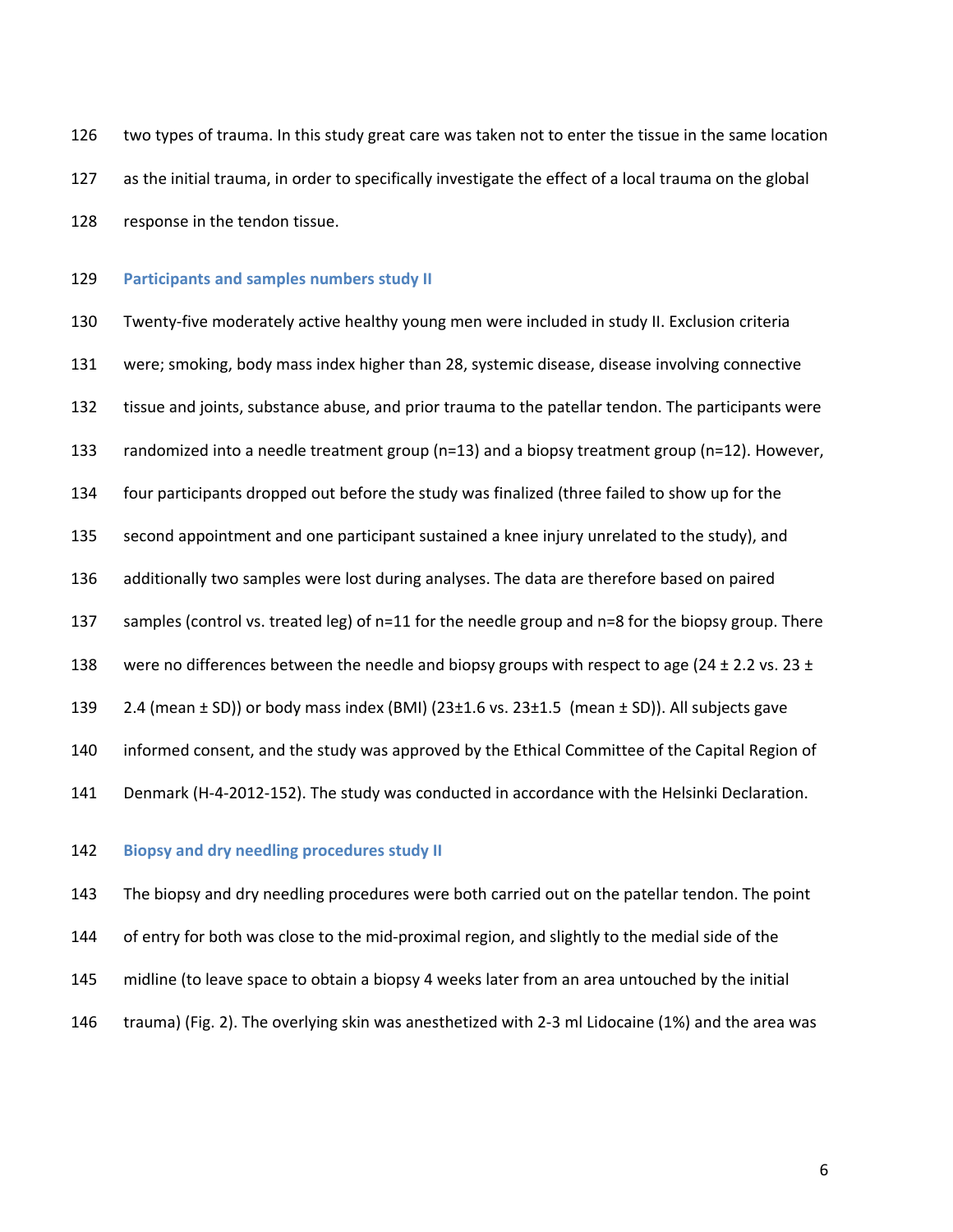126 two types of trauma. In this study great care was taken not to enter the tissue in the same location 127 as the initial trauma, in order to specifically investigate the effect of a local trauma on the global 128 response in the tendon tissue.

129 **Participants and samples numbers study II** 

130 Twenty-five moderately active healthy young men were included in study II. Exclusion criteria 131 were; smoking, body mass index higher than 28, systemic disease, disease involving connective 132 tissue and joints, substance abuse, and prior trauma to the patellar tendon. The participants were 133 randomized into a needle treatment group (n=13) and a biopsy treatment group (n=12). However, 134 four participants dropped out before the study was finalized (three failed to show up for the 135 second appointment and one participant sustained a knee injury unrelated to the study), and 136 additionally two samples were lost during analyses. The data are therefore based on paired 137 samples (control vs. treated leg) of n=11 for the needle group and n=8 for the biopsy group. There 138 were no differences between the needle and biopsy groups with respect to age (24  $\pm$  2.2 vs. 23  $\pm$ 139 2.4 (mean  $\pm$  SD)) or body mass index (BMI) (23 $\pm$ 1.6 vs. 23 $\pm$ 1.5 (mean  $\pm$  SD)). All subjects gave 140 informed consent, and the study was approved by the Ethical Committee of the Capital Region of 141 Denmark (H-4-2012-152). The study was conducted in accordance with the Helsinki Declaration.

142 **Biopsy and dry needling procedures study II** 

143 The biopsy and dry needling procedures were both carried out on the patellar tendon. The point 144 of entry for both was close to the mid-proximal region, and slightly to the medial side of the 145 midline (to leave space to obtain a biopsy 4 weeks later from an area untouched by the initial 146 trauma) (Fig. 2). The overlying skin was anesthetized with 2-3 ml Lidocaine (1%) and the area was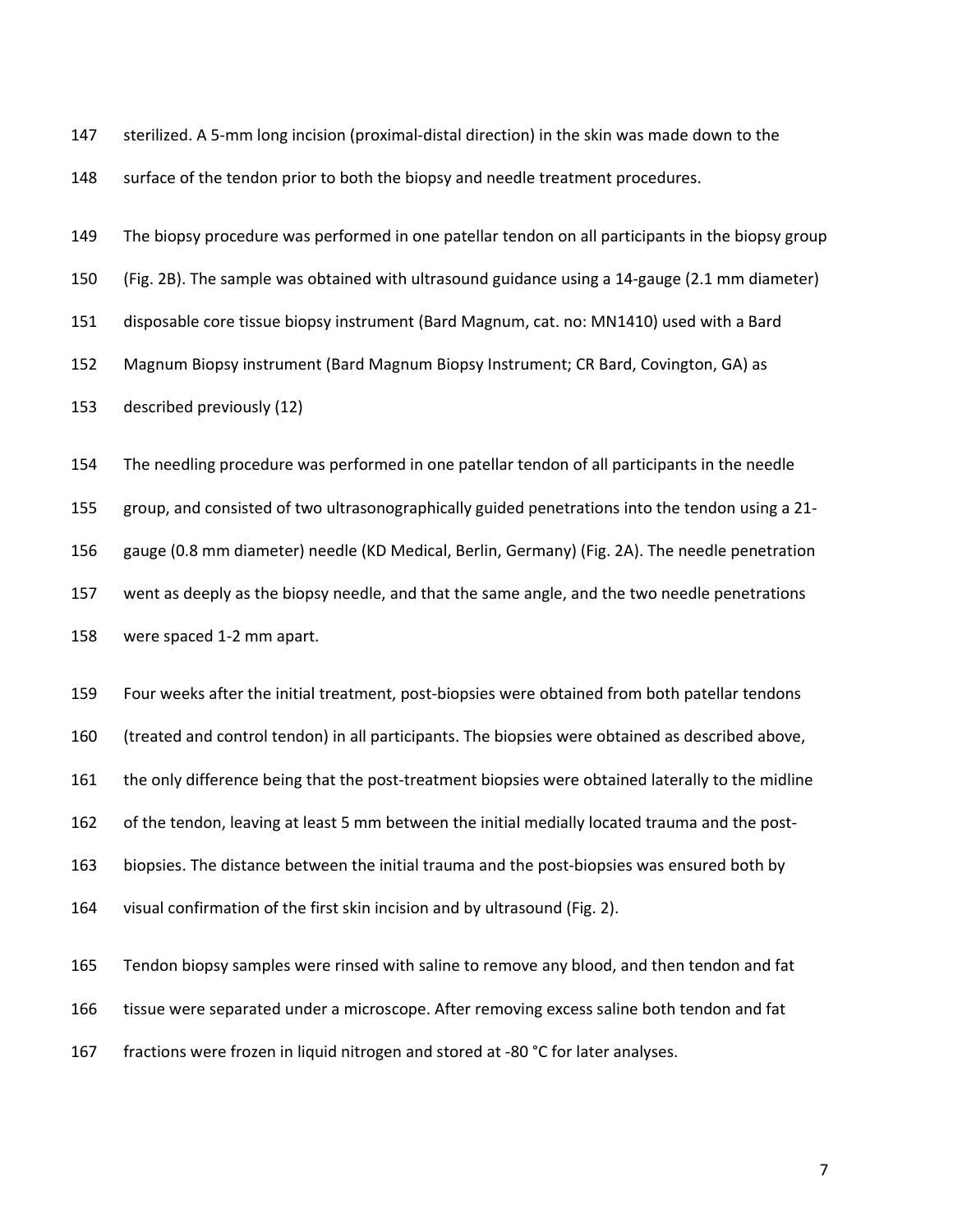147 sterilized. A 5-mm long incision (proximal-distal direction) in the skin was made down to the 148 surface of the tendon prior to both the biopsy and needle treatment procedures.

149 The biopsy procedure was performed in one patellar tendon on all participants in the biopsy group 150 (Fig. 2B). The sample was obtained with ultrasound guidance using a 14-gauge (2.1 mm diameter) 151 disposable core tissue biopsy instrument (Bard Magnum, cat. no: MN1410) used with a Bard 152 Magnum Biopsy instrument (Bard Magnum Biopsy Instrument; CR Bard, Covington, GA) as 153 described previously (12)

154 The needling procedure was performed in one patellar tendon of all participants in the needle 155 group, and consisted of two ultrasonographically guided penetrations into the tendon using a 21- 156 gauge (0.8 mm diameter) needle (KD Medical, Berlin, Germany) (Fig. 2A). The needle penetration 157 went as deeply as the biopsy needle, and that the same angle, and the two needle penetrations 158 were spaced 1-2 mm apart.

159 Four weeks after the initial treatment, post-biopsies were obtained from both patellar tendons 160 (treated and control tendon) in all participants. The biopsies were obtained as described above, 161 the only difference being that the post-treatment biopsies were obtained laterally to the midline 162 of the tendon, leaving at least 5 mm between the initial medially located trauma and the post-163 biopsies. The distance between the initial trauma and the post-biopsies was ensured both by 164 visual confirmation of the first skin incision and by ultrasound (Fig. 2).

165 Tendon biopsy samples were rinsed with saline to remove any blood, and then tendon and fat 166 tissue were separated under a microscope. After removing excess saline both tendon and fat 167 fractions were frozen in liquid nitrogen and stored at -80 °C for later analyses.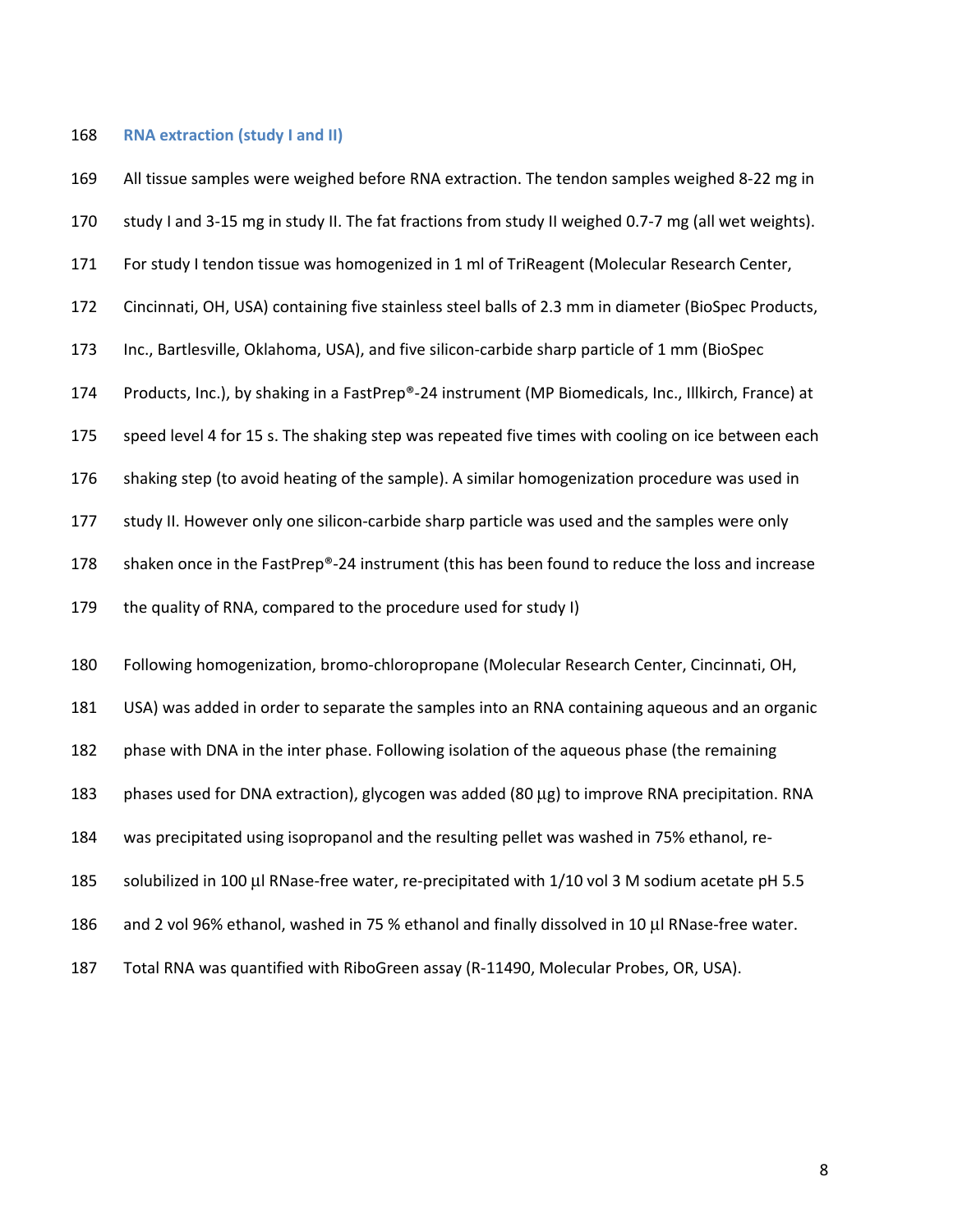# 168 **RNA extraction (study I and II)**

| 169 | All tissue samples were weighed before RNA extraction. The tendon samples weighed 8-22 mg in         |
|-----|------------------------------------------------------------------------------------------------------|
| 170 | study I and 3-15 mg in study II. The fat fractions from study II weighed 0.7-7 mg (all wet weights). |
| 171 | For study I tendon tissue was homogenized in 1 ml of TriReagent (Molecular Research Center,          |
| 172 | Cincinnati, OH, USA) containing five stainless steel balls of 2.3 mm in diameter (BioSpec Products,  |
| 173 | Inc., Bartlesville, Oklahoma, USA), and five silicon-carbide sharp particle of 1 mm (BioSpec         |
| 174 | Products, Inc.), by shaking in a FastPrep®-24 instrument (MP Biomedicals, Inc., Illkirch, France) at |
| 175 | speed level 4 for 15 s. The shaking step was repeated five times with cooling on ice between each    |
| 176 | shaking step (to avoid heating of the sample). A similar homogenization procedure was used in        |
| 177 | study II. However only one silicon-carbide sharp particle was used and the samples were only         |
| 178 | shaken once in the FastPrep®-24 instrument (this has been found to reduce the loss and increase      |
| 179 | the quality of RNA, compared to the procedure used for study I)                                      |
| 180 | Following homogenization, bromo-chloropropane (Molecular Research Center, Cincinnati, OH,            |
| 181 | USA) was added in order to separate the samples into an RNA containing aqueous and an organic        |
| 182 | phase with DNA in the inter phase. Following isolation of the aqueous phase (the remaining           |
| 183 | phases used for DNA extraction), glycogen was added (80 µg) to improve RNA precipitation. RNA        |
| 184 | was precipitated using isopropanol and the resulting pellet was washed in 75% ethanol, re-           |
| 185 | solubilized in 100 µl RNase-free water, re-precipitated with 1/10 vol 3 M sodium acetate pH 5.5      |
| 186 | and 2 vol 96% ethanol, washed in 75 % ethanol and finally dissolved in 10 µl RNase-free water.       |
| 187 | Total RNA was quantified with RiboGreen assay (R-11490, Molecular Probes, OR, USA).                  |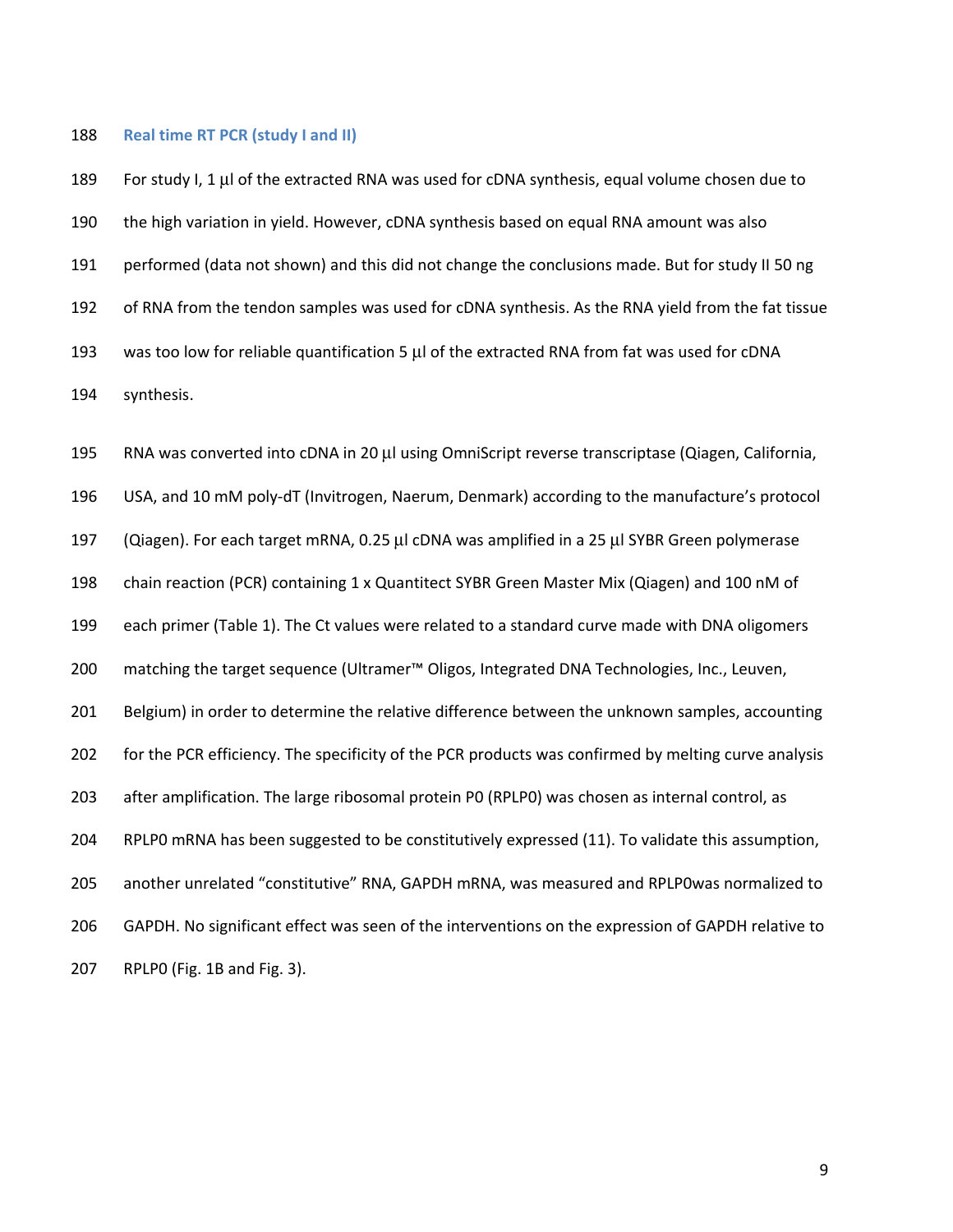### 188 **Real time RT PCR (study I and II)**

189 For study I, 1 μl of the extracted RNA was used for cDNA synthesis, equal volume chosen due to 190 the high variation in yield. However, cDNA synthesis based on equal RNA amount was also 191 performed (data not shown) and this did not change the conclusions made. But for study II 50 ng 192 of RNA from the tendon samples was used for cDNA synthesis. As the RNA yield from the fat tissue 193 was too low for reliable quantification 5 μl of the extracted RNA from fat was used for cDNA 194 synthesis.

195 RNA was converted into cDNA in 20 μl using OmniScript reverse transcriptase (Qiagen, California, 196 USA, and 10 mM poly-dT (Invitrogen, Naerum, Denmark) according to the manufacture's protocol 197 (Qiagen). For each target mRNA, 0.25 μl cDNA was amplified in a 25 μl SYBR Green polymerase 198 chain reaction (PCR) containing 1 x Quantitect SYBR Green Master Mix (Qiagen) and 100 nM of 199 each primer (Table 1). The Ct values were related to a standard curve made with DNA oligomers 200 matching the target sequence (Ultramer™ Oligos, Integrated DNA Technologies, Inc., Leuven, 201 Belgium) in order to determine the relative difference between the unknown samples, accounting 202 for the PCR efficiency. The specificity of the PCR products was confirmed by melting curve analysis 203 after amplification. The large ribosomal protein P0 (RPLP0) was chosen as internal control, as 204 RPLP0 mRNA has been suggested to be constitutively expressed (11). To validate this assumption, 205 another unrelated "constitutive" RNA, GAPDH mRNA, was measured and RPLP0was normalized to 206 GAPDH. No significant effect was seen of the interventions on the expression of GAPDH relative to 207 RPLP0 (Fig. 1B and Fig. 3).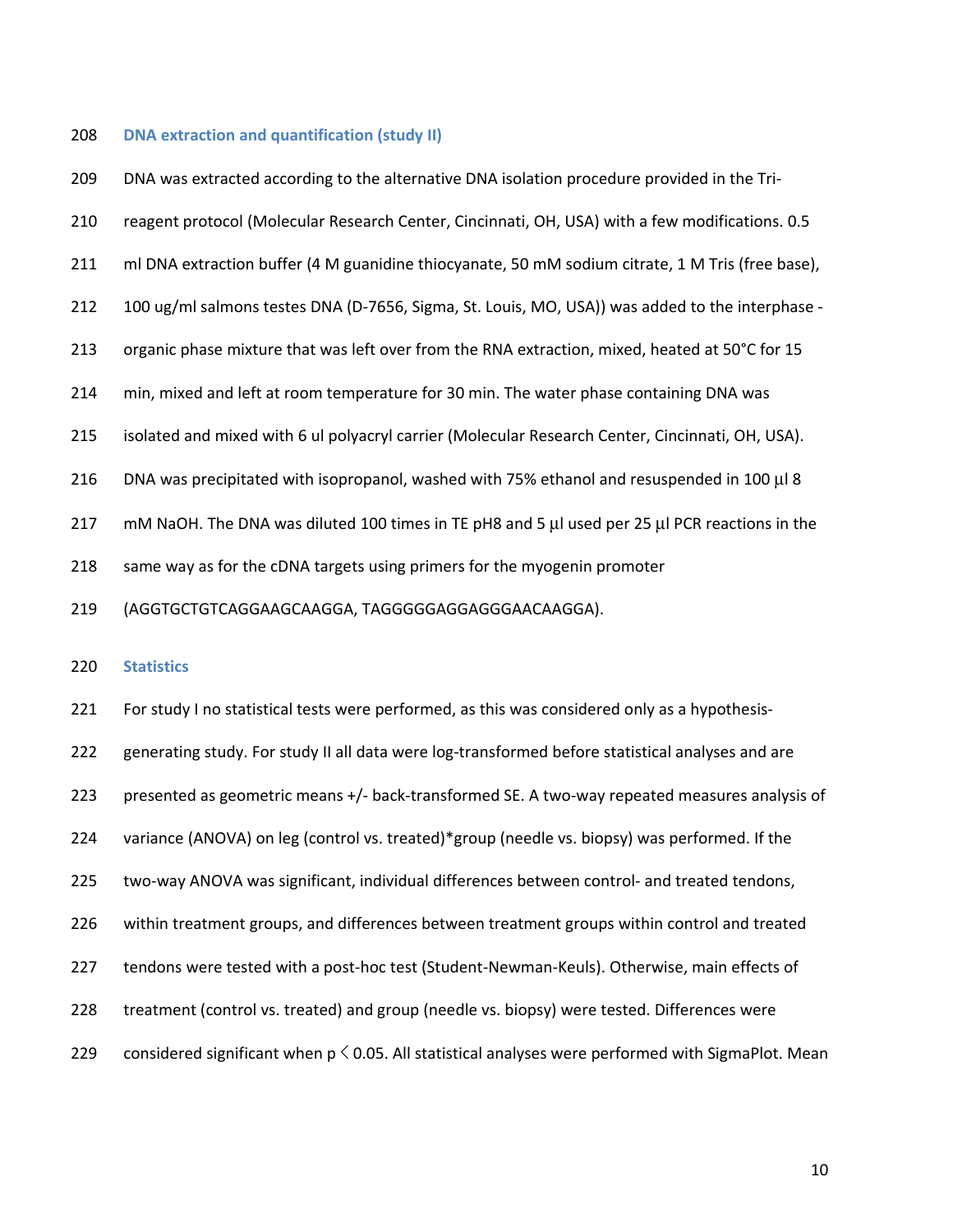#### 208 **DNA extraction and quantification (study II)**

| 209 | DNA was extracted according to the alternative DNA isolation procedure provided in the Tri-      |
|-----|--------------------------------------------------------------------------------------------------|
| 210 | reagent protocol (Molecular Research Center, Cincinnati, OH, USA) with a few modifications. 0.5  |
| 211 | ml DNA extraction buffer (4 M guanidine thiocyanate, 50 mM sodium citrate, 1 M Tris (free base), |
| 212 | 100 ug/ml salmons testes DNA (D-7656, Sigma, St. Louis, MO, USA)) was added to the interphase -  |
| 213 | organic phase mixture that was left over from the RNA extraction, mixed, heated at 50°C for 15   |
| 214 | min, mixed and left at room temperature for 30 min. The water phase containing DNA was           |
| 215 | isolated and mixed with 6 ul polyacryl carrier (Molecular Research Center, Cincinnati, OH, USA). |
| 216 | DNA was precipitated with isopropanol, washed with 75% ethanol and resuspended in 100 µl 8       |
| 217 | mM NaOH. The DNA was diluted 100 times in TE pH8 and 5 µl used per 25 µl PCR reactions in the    |
| 218 | same way as for the cDNA targets using primers for the myogenin promoter                         |
| 219 | (AGGTGCTGTCAGGAAGCAAGGA, TAGGGGGAGGAGGAACAAGGA).                                                 |
| 220 | <b>Statistics</b>                                                                                |
|     |                                                                                                  |
| 221 | For study I no statistical tests were performed, as this was considered only as a hypothesis-    |

222 generating study. For study II all data were log-transformed before statistical analyses and are 223 presented as geometric means +/- back-transformed SE. A two-way repeated measures analysis of 224 variance (ANOVA) on leg (control vs. treated)\*group (needle vs. biopsy) was performed. If the 225 two-way ANOVA was significant, individual differences between control- and treated tendons, 226 within treatment groups, and differences between treatment groups within control and treated 227 tendons were tested with a post-hoc test (Student-Newman-Keuls). Otherwise, main effects of 228 treatment (control vs. treated) and group (needle vs. biopsy) were tested. Differences were 229 considered significant when  $p \le 0.05$ . All statistical analyses were performed with SigmaPlot. Mean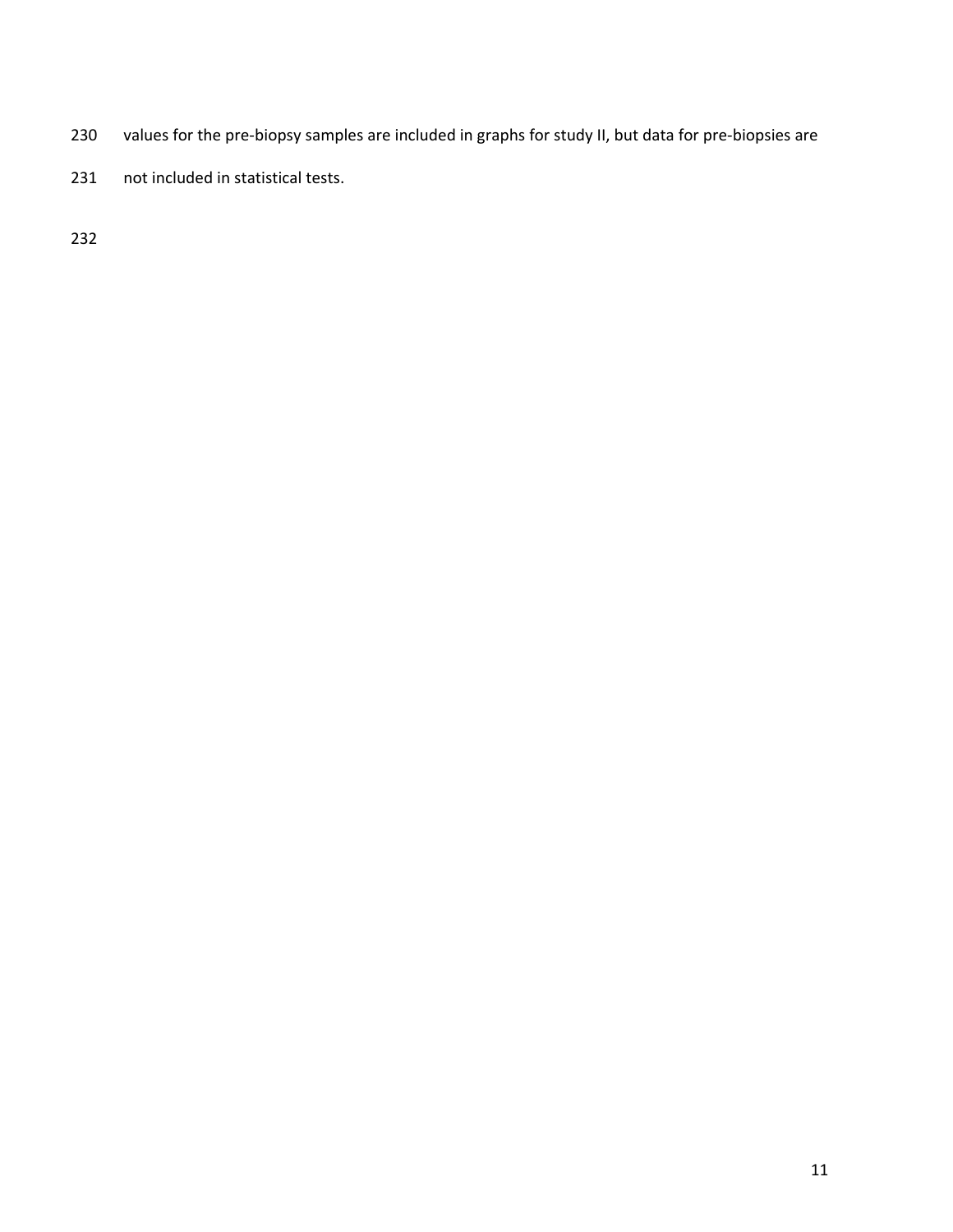- 230 values for the pre-biopsy samples are included in graphs for study II, but data for pre-biopsies are
- 231 not included in statistical tests.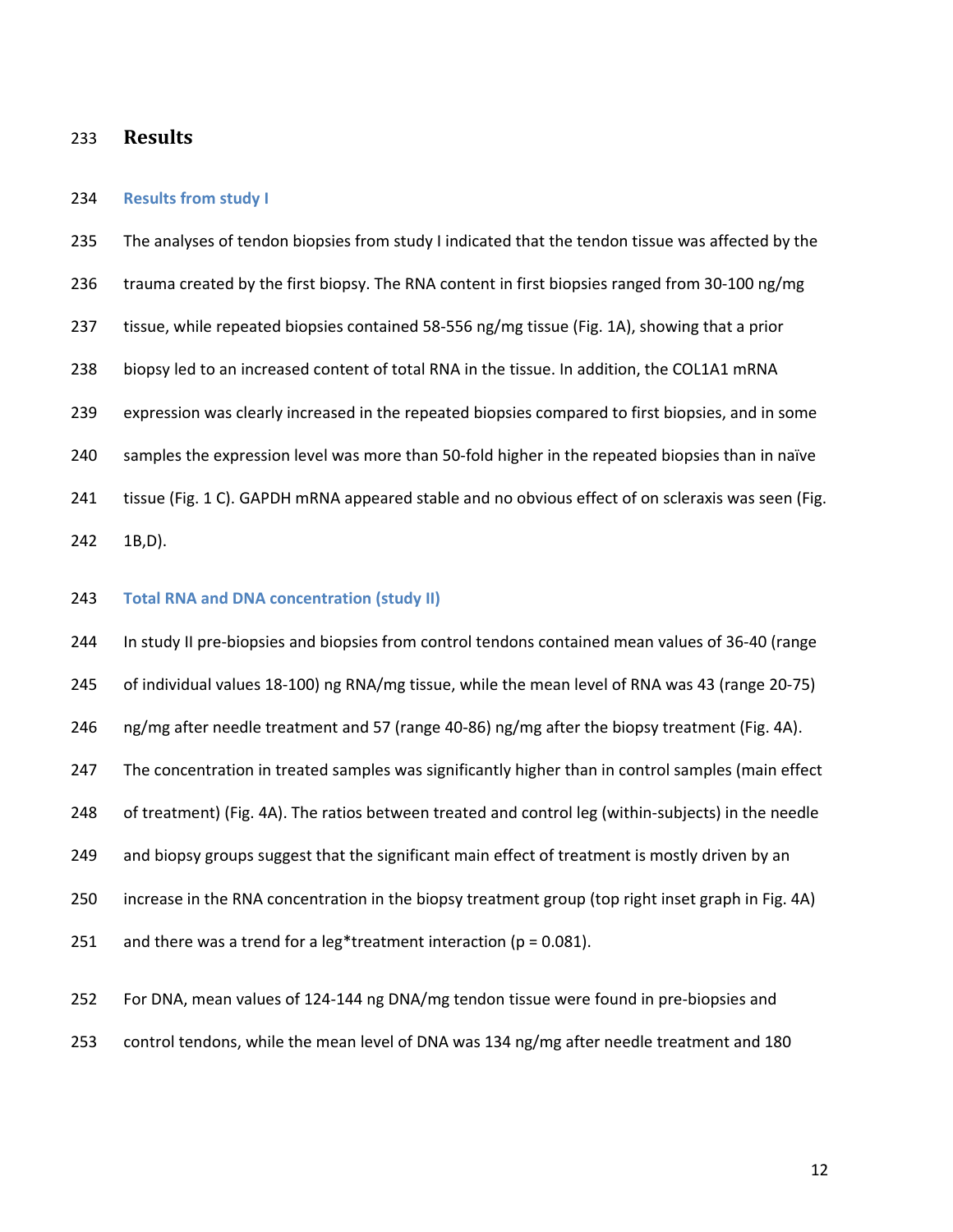## 233 **Results**

### 234 **Results from study I**

235 The analyses of tendon biopsies from study I indicated that the tendon tissue was affected by the 236 trauma created by the first biopsy. The RNA content in first biopsies ranged from 30-100 ng/mg 237 tissue, while repeated biopsies contained 58-556 ng/mg tissue (Fig. 1A), showing that a prior 238 biopsy led to an increased content of total RNA in the tissue. In addition, the COL1A1 mRNA 239 expression was clearly increased in the repeated biopsies compared to first biopsies, and in some 240 samples the expression level was more than 50-fold higher in the repeated biopsies than in naïve 241 tissue (Fig. 1 C). GAPDH mRNA appeared stable and no obvious effect of on scleraxis was seen (Fig. 242 1B,D).

## 243 **Total RNA and DNA concentration (study II)**

244 In study II pre-biopsies and biopsies from control tendons contained mean values of 36-40 (range 245 of individual values 18-100) ng RNA/mg tissue, while the mean level of RNA was 43 (range 20-75) 246 ng/mg after needle treatment and 57 (range 40-86) ng/mg after the biopsy treatment (Fig. 4A). 247 The concentration in treated samples was significantly higher than in control samples (main effect 248 of treatment) (Fig. 4A). The ratios between treated and control leg (within-subjects) in the needle 249 and biopsy groups suggest that the significant main effect of treatment is mostly driven by an 250 increase in the RNA concentration in the biopsy treatment group (top right inset graph in Fig. 4A) 251 and there was a trend for a leg\*treatment interaction ( $p = 0.081$ ).

252 For DNA, mean values of 124-144 ng DNA/mg tendon tissue were found in pre-biopsies and

253 control tendons, while the mean level of DNA was 134 ng/mg after needle treatment and 180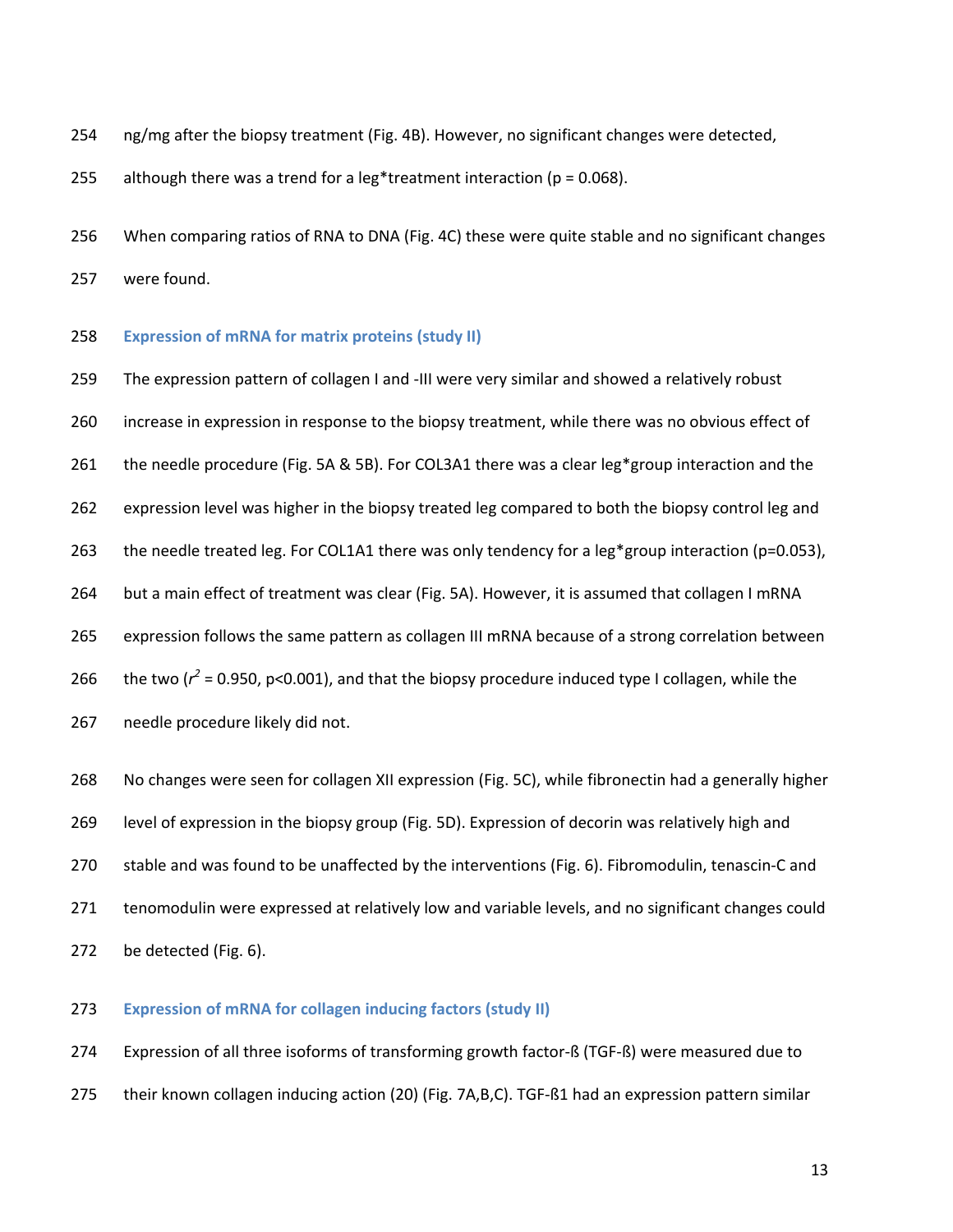- 254 ng/mg after the biopsy treatment (Fig. 4B). However, no significant changes were detected,
- 255 although there was a trend for a leg\*treatment interaction ( $p = 0.068$ ).
- 256 When comparing ratios of RNA to DNA (Fig. 4C) these were quite stable and no significant changes 257 were found.
- 258 **Expression of mRNA for matrix proteins (study II)**

259 The expression pattern of collagen I and -III were very similar and showed a relatively robust 260 increase in expression in response to the biopsy treatment, while there was no obvious effect of 261 the needle procedure (Fig. 5A & 5B). For COL3A1 there was a clear leg\*group interaction and the 262 expression level was higher in the biopsy treated leg compared to both the biopsy control leg and 263 the needle treated leg. For COL1A1 there was only tendency for a leg\*group interaction (p=0.053), 264 but a main effect of treatment was clear (Fig. 5A). However, it is assumed that collagen I mRNA 265 expression follows the same pattern as collagen III mRNA because of a strong correlation between 266 the two ( $r^2$  = 0.950, p<0.001), and that the biopsy procedure induced type I collagen, while the 267 needle procedure likely did not. 268 No changes were seen for collagen XII expression (Fig. 5C), while fibronectin had a generally higher 269 level of expression in the biopsy group (Fig. 5D). Expression of decorin was relatively high and

- 270 stable and was found to be unaffected by the interventions (Fig. 6). Fibromodulin, tenascin-C and
- 271 tenomodulin were expressed at relatively low and variable levels, and no significant changes could
- 272 be detected (Fig. 6).

## 273 **Expression of mRNA for collagen inducing factors (study II)**

274 Expression of all three isoforms of transforming growth factor-ß (TGF-ß) were measured due to 275 their known collagen inducing action (20) (Fig. 7A,B,C). TGF-ß1 had an expression pattern similar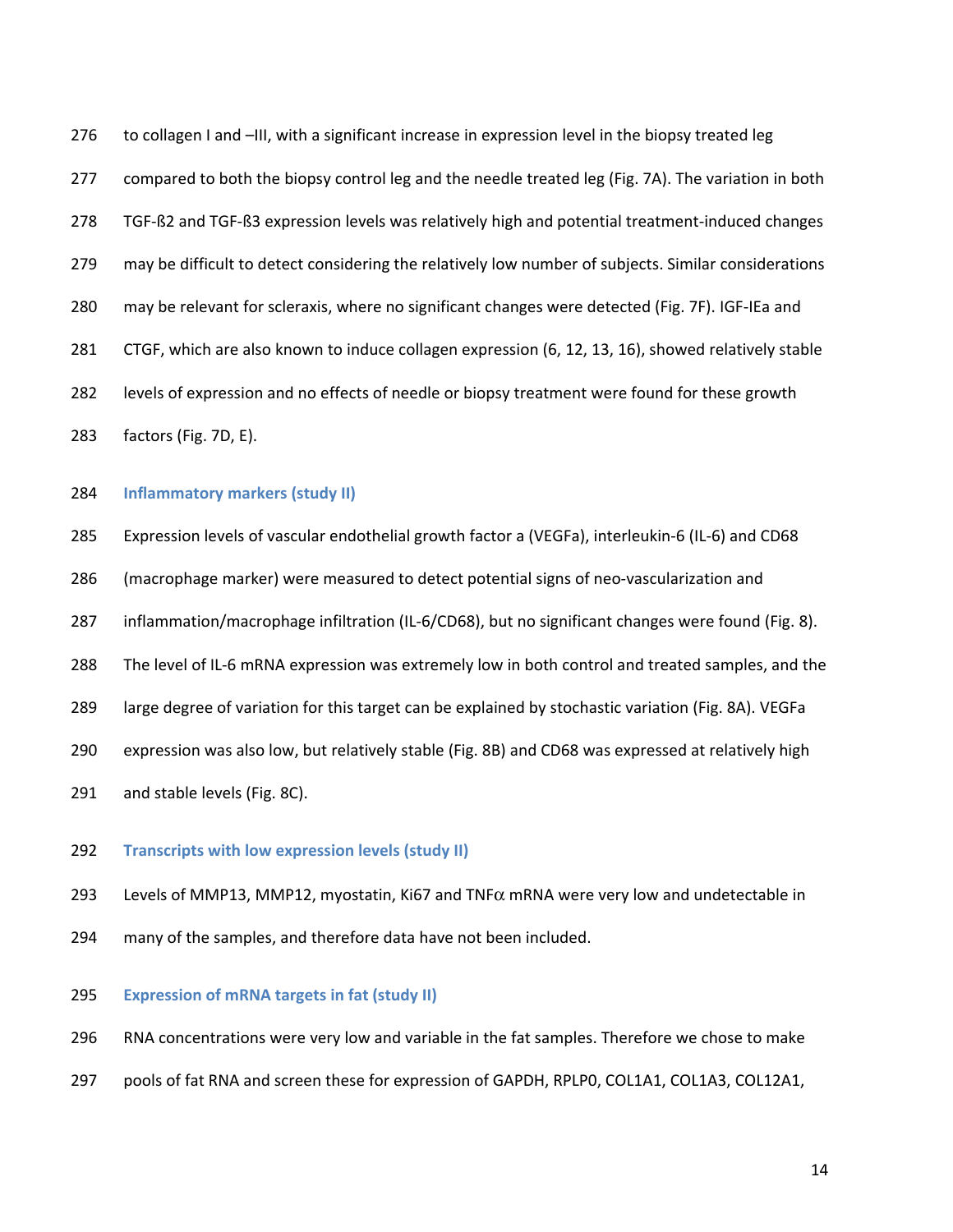276 to collagen I and –III, with a significant increase in expression level in the biopsy treated leg 277 compared to both the biopsy control leg and the needle treated leg (Fig. 7A). The variation in both 278 TGF-ß2 and TGF-ß3 expression levels was relatively high and potential treatment-induced changes 279 may be difficult to detect considering the relatively low number of subjects. Similar considerations 280 may be relevant for scleraxis, where no significant changes were detected (Fig. 7F). IGF-IEa and 281 CTGF, which are also known to induce collagen expression (6, 12, 13, 16), showed relatively stable 282 levels of expression and no effects of needle or biopsy treatment were found for these growth 283 factors (Fig. 7D, E).

### 284 **Inflammatory markers (study II)**

285 Expression levels of vascular endothelial growth factor a (VEGFa), interleukin-6 (IL-6) and CD68

286 (macrophage marker) were measured to detect potential signs of neo-vascularization and

287 inflammation/macrophage infiltration (IL-6/CD68), but no significant changes were found (Fig. 8).

288 The level of IL-6 mRNA expression was extremely low in both control and treated samples, and the

289 large degree of variation for this target can be explained by stochastic variation (Fig. 8A). VEGFa

290 expression was also low, but relatively stable (Fig. 8B) and CD68 was expressed at relatively high

291 and stable levels (Fig. 8C).

### 292 **Transcripts with low expression levels (study II)**

293 Levels of MMP13, MMP12, myostatin, Ki67 and TNF $\alpha$  mRNA were very low and undetectable in

294 many of the samples, and therefore data have not been included.

## 295 **Expression of mRNA targets in fat (study II)**

296 RNA concentrations were very low and variable in the fat samples. Therefore we chose to make

297 pools of fat RNA and screen these for expression of GAPDH, RPLP0, COL1A1, COL1A3, COL12A1,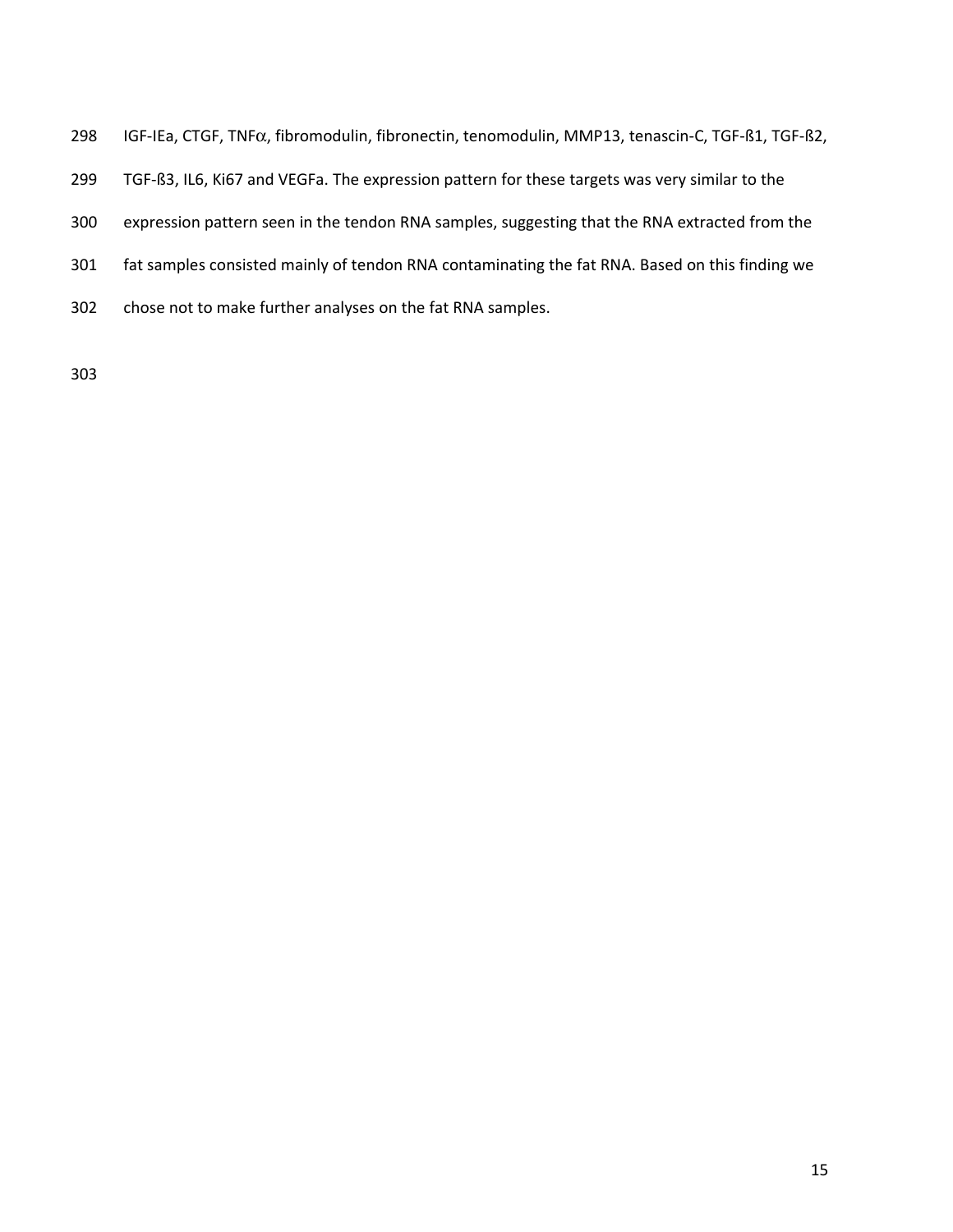- 298 IGF-IEa, CTGF, TNFα, fibromodulin, fibronectin, tenomodulin, MMP13, tenascin-C, TGF-ß1, TGF-ß2,
- 299 TGF-ß3, IL6, Ki67 and VEGFa. The expression pattern for these targets was very similar to the
- 300 expression pattern seen in the tendon RNA samples, suggesting that the RNA extracted from the
- 301 fat samples consisted mainly of tendon RNA contaminating the fat RNA. Based on this finding we
- 302 chose not to make further analyses on the fat RNA samples.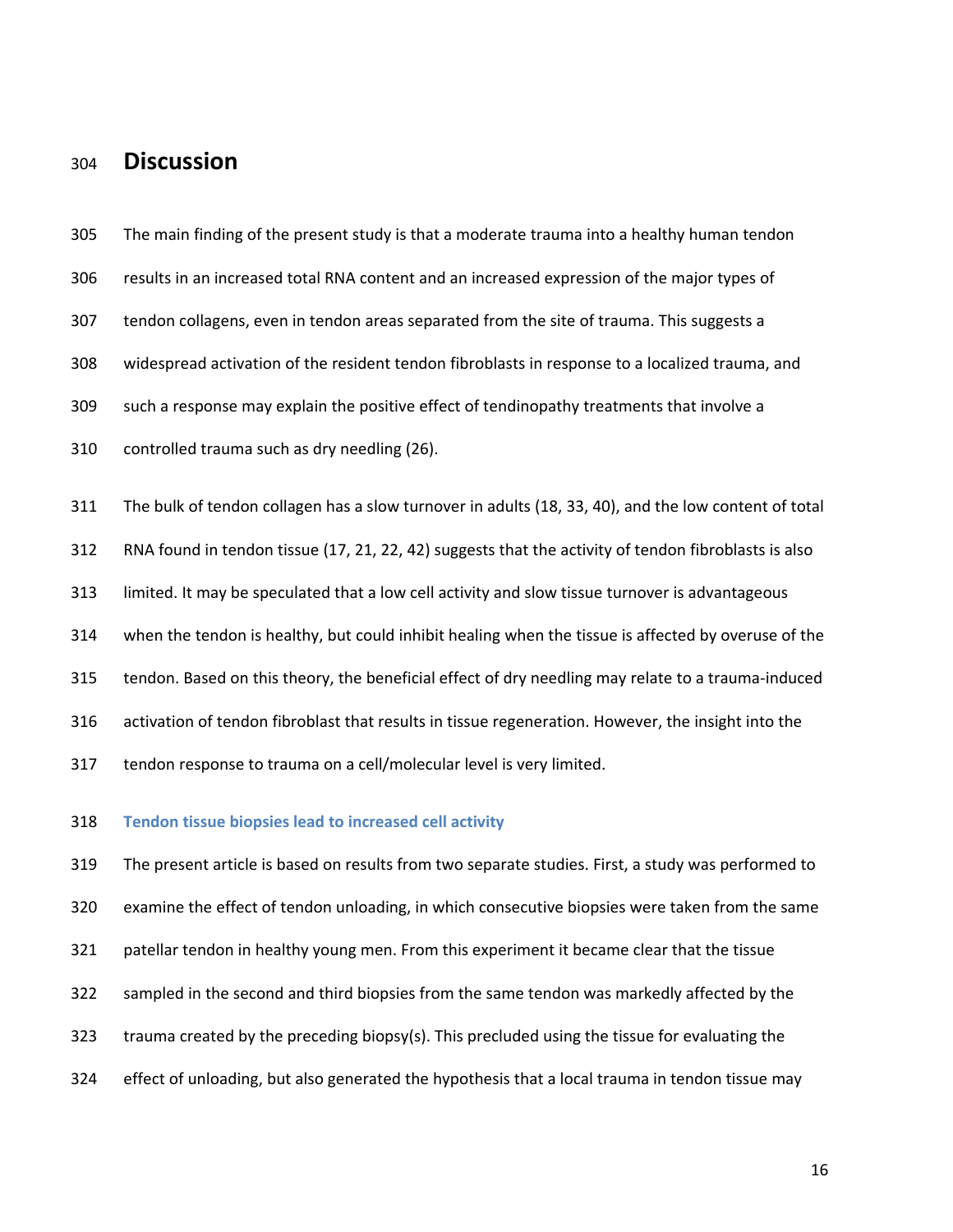# <sup>304</sup>**Discussion**

305 The main finding of the present study is that a moderate trauma into a healthy human tendon 306 results in an increased total RNA content and an increased expression of the major types of 307 tendon collagens, even in tendon areas separated from the site of trauma. This suggests a 308 widespread activation of the resident tendon fibroblasts in response to a localized trauma, and 309 such a response may explain the positive effect of tendinopathy treatments that involve a 310 controlled trauma such as dry needling (26). 311 The bulk of tendon collagen has a slow turnover in adults (18, 33, 40), and the low content of total 312 RNA found in tendon tissue (17, 21, 22, 42) suggests that the activity of tendon fibroblasts is also 313 limited. It may be speculated that a low cell activity and slow tissue turnover is advantageous 314 when the tendon is healthy, but could inhibit healing when the tissue is affected by overuse of the 315 tendon. Based on this theory, the beneficial effect of dry needling may relate to a trauma-induced 316 activation of tendon fibroblast that results in tissue regeneration. However, the insight into the 317 tendon response to trauma on a cell/molecular level is very limited. 318 **Tendon tissue biopsies lead to increased cell activity** 

319 The present article is based on results from two separate studies. First, a study was performed to 320 examine the effect of tendon unloading, in which consecutive biopsies were taken from the same 321 patellar tendon in healthy young men. From this experiment it became clear that the tissue 322 sampled in the second and third biopsies from the same tendon was markedly affected by the 323 trauma created by the preceding biopsy(s). This precluded using the tissue for evaluating the 324 effect of unloading, but also generated the hypothesis that a local trauma in tendon tissue may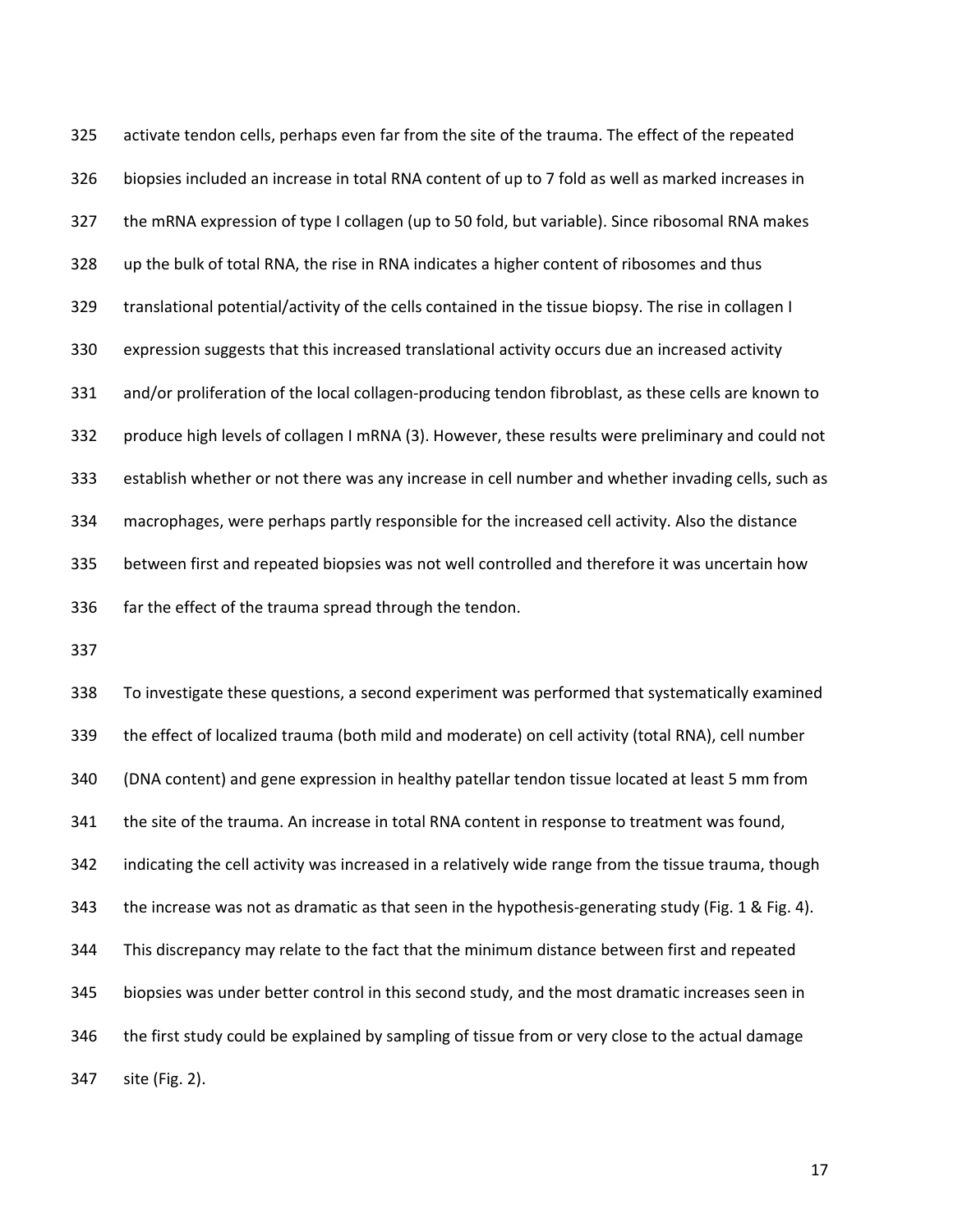325 activate tendon cells, perhaps even far from the site of the trauma. The effect of the repeated 326 biopsies included an increase in total RNA content of up to 7 fold as well as marked increases in 327 the mRNA expression of type I collagen (up to 50 fold, but variable). Since ribosomal RNA makes 328 up the bulk of total RNA, the rise in RNA indicates a higher content of ribosomes and thus 329 translational potential/activity of the cells contained in the tissue biopsy. The rise in collagen I 330 expression suggests that this increased translational activity occurs due an increased activity 331 and/or proliferation of the local collagen-producing tendon fibroblast, as these cells are known to 332 produce high levels of collagen I mRNA (3). However, these results were preliminary and could not 333 establish whether or not there was any increase in cell number and whether invading cells, such as 334 macrophages, were perhaps partly responsible for the increased cell activity. Also the distance 335 between first and repeated biopsies was not well controlled and therefore it was uncertain how 336 far the effect of the trauma spread through the tendon.

337

338 To investigate these questions, a second experiment was performed that systematically examined 339 the effect of localized trauma (both mild and moderate) on cell activity (total RNA), cell number 340 (DNA content) and gene expression in healthy patellar tendon tissue located at least 5 mm from 341 the site of the trauma. An increase in total RNA content in response to treatment was found, 342 indicating the cell activity was increased in a relatively wide range from the tissue trauma, though 343 the increase was not as dramatic as that seen in the hypothesis-generating study (Fig. 1 & Fig. 4). 344 This discrepancy may relate to the fact that the minimum distance between first and repeated 345 biopsies was under better control in this second study, and the most dramatic increases seen in 346 the first study could be explained by sampling of tissue from or very close to the actual damage 347 site (Fig. 2).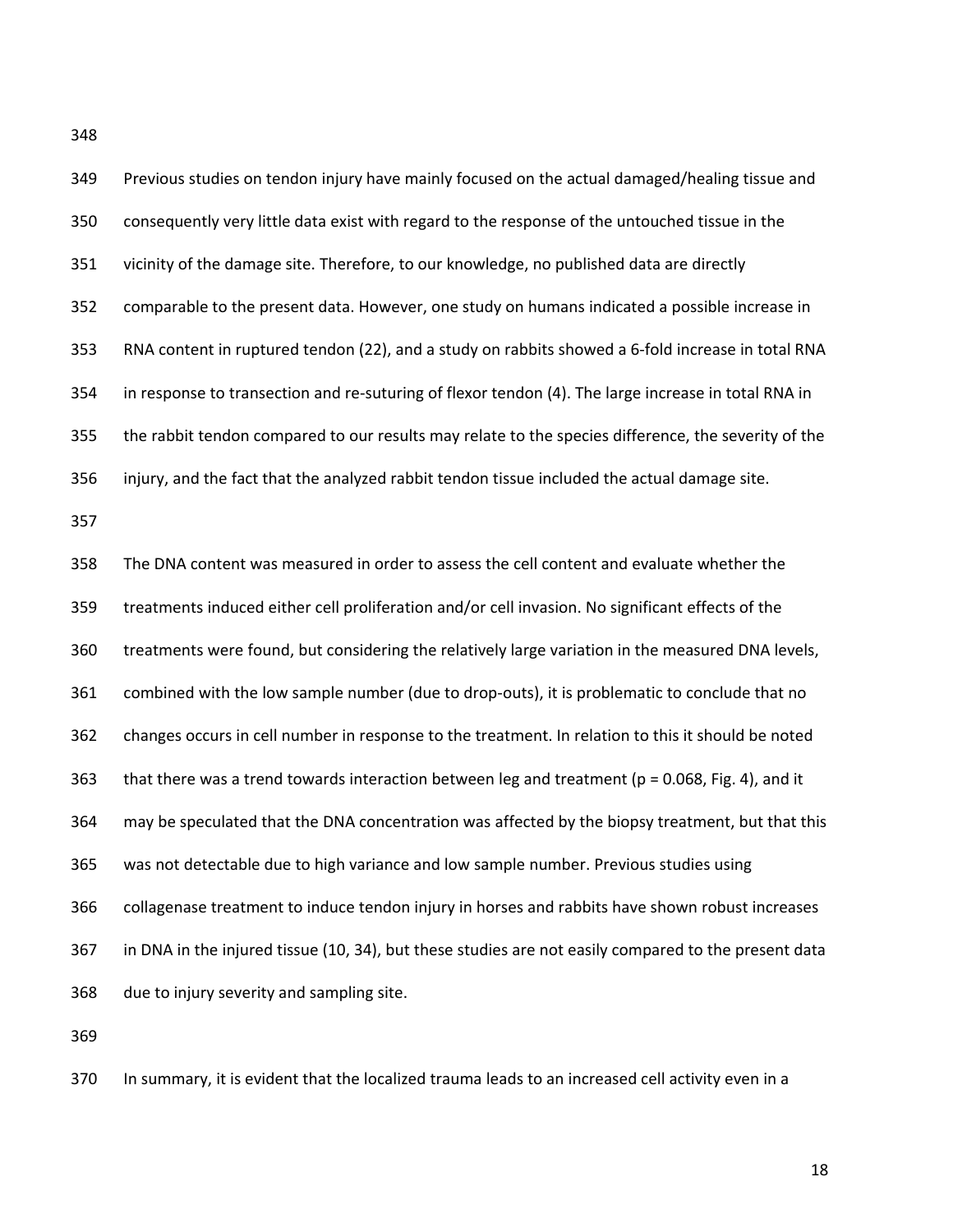348

| 349 | Previous studies on tendon injury have mainly focused on the actual damaged/healing tissue and       |
|-----|------------------------------------------------------------------------------------------------------|
| 350 | consequently very little data exist with regard to the response of the untouched tissue in the       |
| 351 | vicinity of the damage site. Therefore, to our knowledge, no published data are directly             |
| 352 | comparable to the present data. However, one study on humans indicated a possible increase in        |
| 353 | RNA content in ruptured tendon (22), and a study on rabbits showed a 6-fold increase in total RNA    |
| 354 | in response to transection and re-suturing of flexor tendon (4). The large increase in total RNA in  |
| 355 | the rabbit tendon compared to our results may relate to the species difference, the severity of the  |
| 356 | injury, and the fact that the analyzed rabbit tendon tissue included the actual damage site.         |
| 357 |                                                                                                      |
| 358 | The DNA content was measured in order to assess the cell content and evaluate whether the            |
| 359 | treatments induced either cell proliferation and/or cell invasion. No significant effects of the     |
| 360 | treatments were found, but considering the relatively large variation in the measured DNA levels,    |
| 361 | combined with the low sample number (due to drop-outs), it is problematic to conclude that no        |
| 362 | changes occurs in cell number in response to the treatment. In relation to this it should be noted   |
| 363 | that there was a trend towards interaction between leg and treatment ( $p = 0.068$ , Fig. 4), and it |
| 364 | may be speculated that the DNA concentration was affected by the biopsy treatment, but that this     |
| 365 | was not detectable due to high variance and low sample number. Previous studies using                |
| 366 | collagenase treatment to induce tendon injury in horses and rabbits have shown robust increases      |
| 367 | in DNA in the injured tissue (10, 34), but these studies are not easily compared to the present data |
| 368 | due to injury severity and sampling site.                                                            |
| 369 |                                                                                                      |
|     |                                                                                                      |

370 In summary, it is evident that the localized trauma leads to an increased cell activity even in a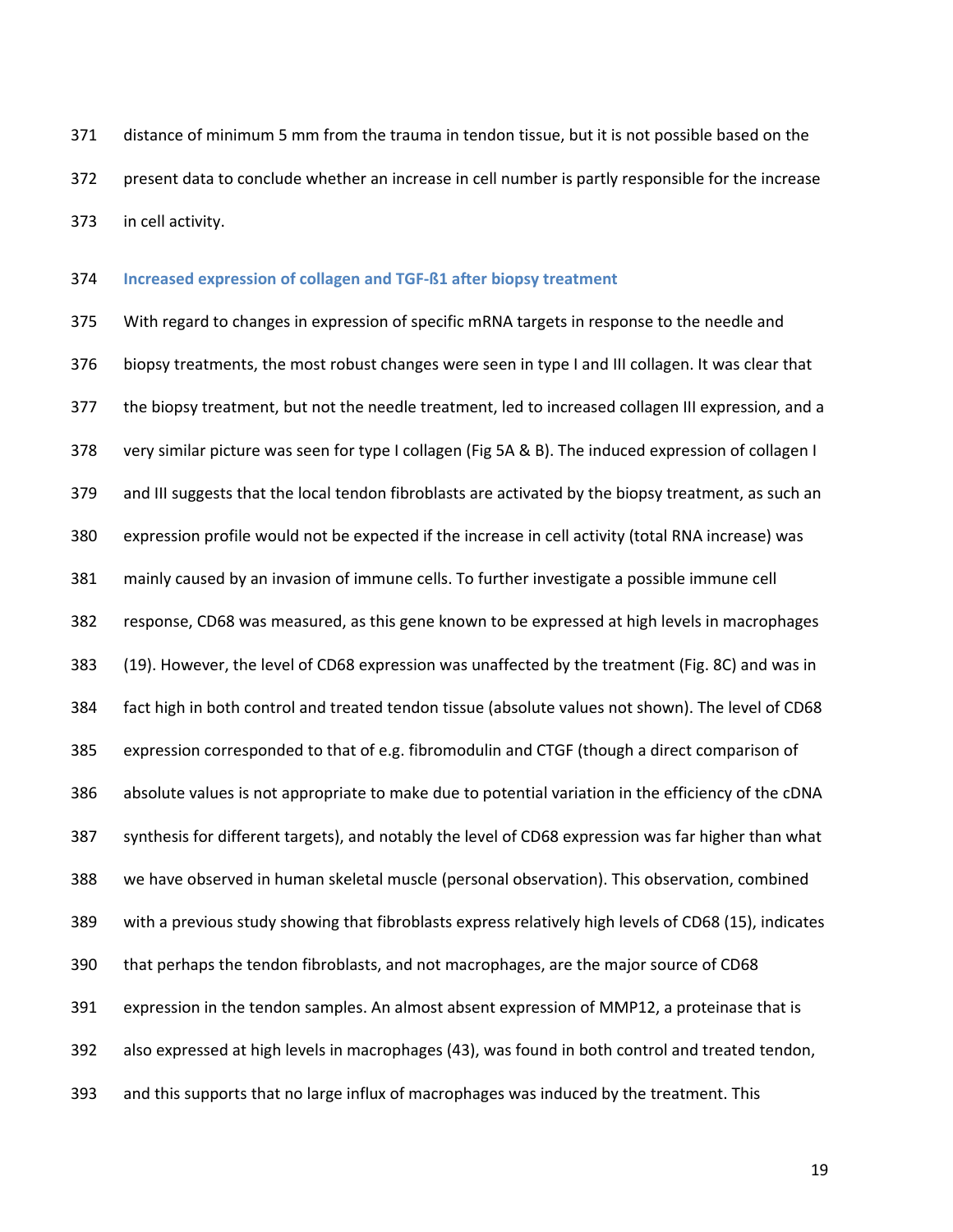371 distance of minimum 5 mm from the trauma in tendon tissue, but it is not possible based on the 372 present data to conclude whether an increase in cell number is partly responsible for the increase 373 in cell activity.

#### 374 **Increased expression of collagen and TGF-ß1 after biopsy treatment**

375 With regard to changes in expression of specific mRNA targets in response to the needle and 376 biopsy treatments, the most robust changes were seen in type I and III collagen. It was clear that 377 the biopsy treatment, but not the needle treatment, led to increased collagen III expression, and a 378 very similar picture was seen for type I collagen (Fig 5A & B). The induced expression of collagen I 379 and III suggests that the local tendon fibroblasts are activated by the biopsy treatment, as such an 380 expression profile would not be expected if the increase in cell activity (total RNA increase) was 381 mainly caused by an invasion of immune cells. To further investigate a possible immune cell 382 response, CD68 was measured, as this gene known to be expressed at high levels in macrophages 383 (19). However, the level of CD68 expression was unaffected by the treatment (Fig. 8C) and was in 384 fact high in both control and treated tendon tissue (absolute values not shown). The level of CD68 385 expression corresponded to that of e.g. fibromodulin and CTGF (though a direct comparison of 386 absolute values is not appropriate to make due to potential variation in the efficiency of the cDNA 387 synthesis for different targets), and notably the level of CD68 expression was far higher than what 388 we have observed in human skeletal muscle (personal observation). This observation, combined 389 with a previous study showing that fibroblasts express relatively high levels of CD68 (15), indicates 390 that perhaps the tendon fibroblasts, and not macrophages, are the major source of CD68 391 expression in the tendon samples. An almost absent expression of MMP12, a proteinase that is 392 also expressed at high levels in macrophages (43), was found in both control and treated tendon, 393 and this supports that no large influx of macrophages was induced by the treatment. This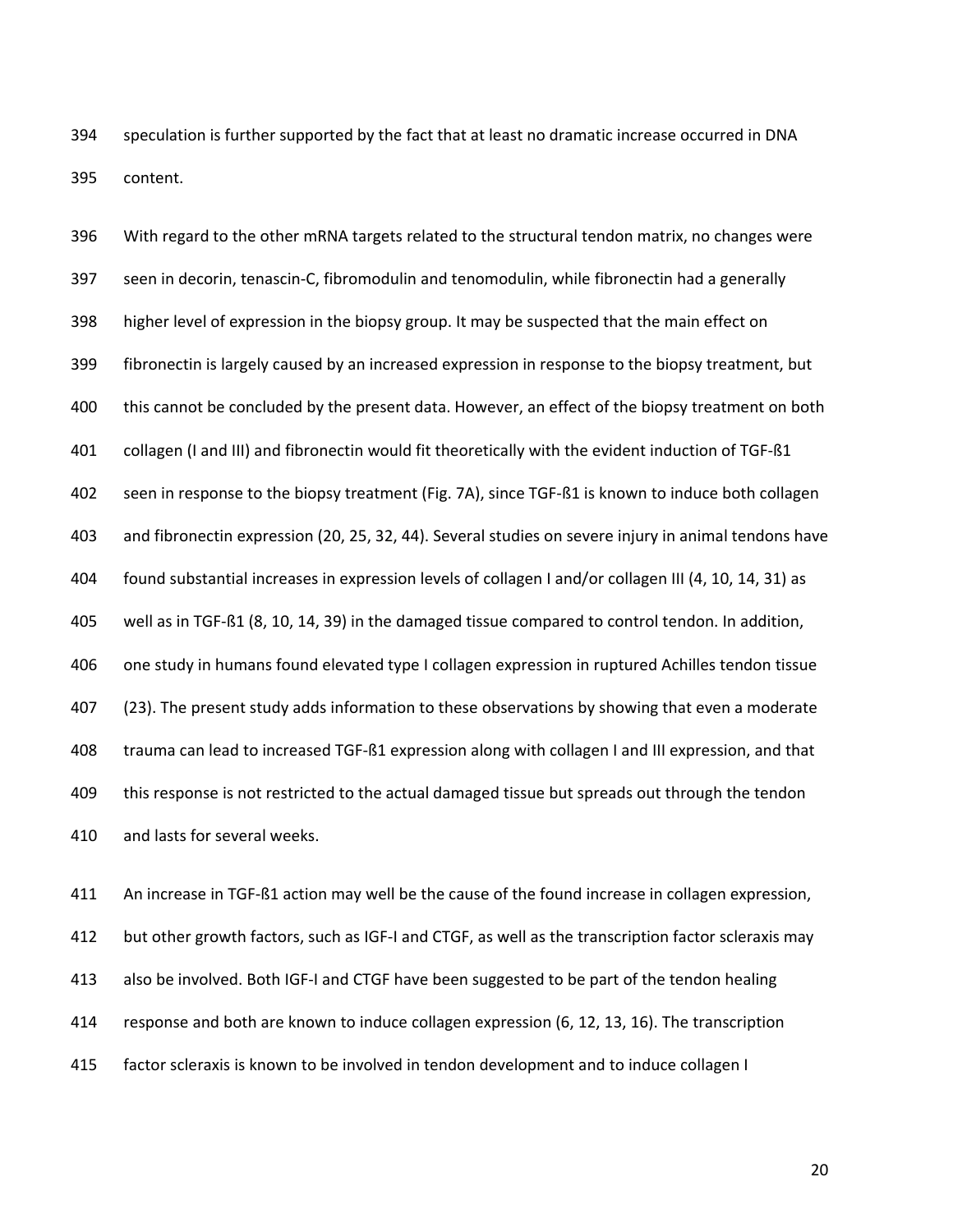394 speculation is further supported by the fact that at least no dramatic increase occurred in DNA 395 content.

396 With regard to the other mRNA targets related to the structural tendon matrix, no changes were 397 seen in decorin, tenascin-C, fibromodulin and tenomodulin, while fibronectin had a generally 398 higher level of expression in the biopsy group. It may be suspected that the main effect on 399 fibronectin is largely caused by an increased expression in response to the biopsy treatment, but 400 this cannot be concluded by the present data. However, an effect of the biopsy treatment on both 401 collagen (I and III) and fibronectin would fit theoretically with the evident induction of TGF-ß1 402 seen in response to the biopsy treatment (Fig. 7A), since TGF-ß1 is known to induce both collagen 403 and fibronectin expression (20, 25, 32, 44). Several studies on severe injury in animal tendons have 404 found substantial increases in expression levels of collagen I and/or collagen III (4, 10, 14, 31) as 405 well as in TGF-ß1 (8, 10, 14, 39) in the damaged tissue compared to control tendon. In addition, 406 one study in humans found elevated type I collagen expression in ruptured Achilles tendon tissue 407 (23). The present study adds information to these observations by showing that even a moderate 408 trauma can lead to increased TGF-ß1 expression along with collagen I and III expression, and that 409 this response is not restricted to the actual damaged tissue but spreads out through the tendon 410 and lasts for several weeks.

411 An increase in TGF-ß1 action may well be the cause of the found increase in collagen expression, 412 but other growth factors, such as IGF-I and CTGF, as well as the transcription factor scleraxis may 413 also be involved. Both IGF-I and CTGF have been suggested to be part of the tendon healing 414 response and both are known to induce collagen expression (6, 12, 13, 16). The transcription 415 factor scleraxis is known to be involved in tendon development and to induce collagen I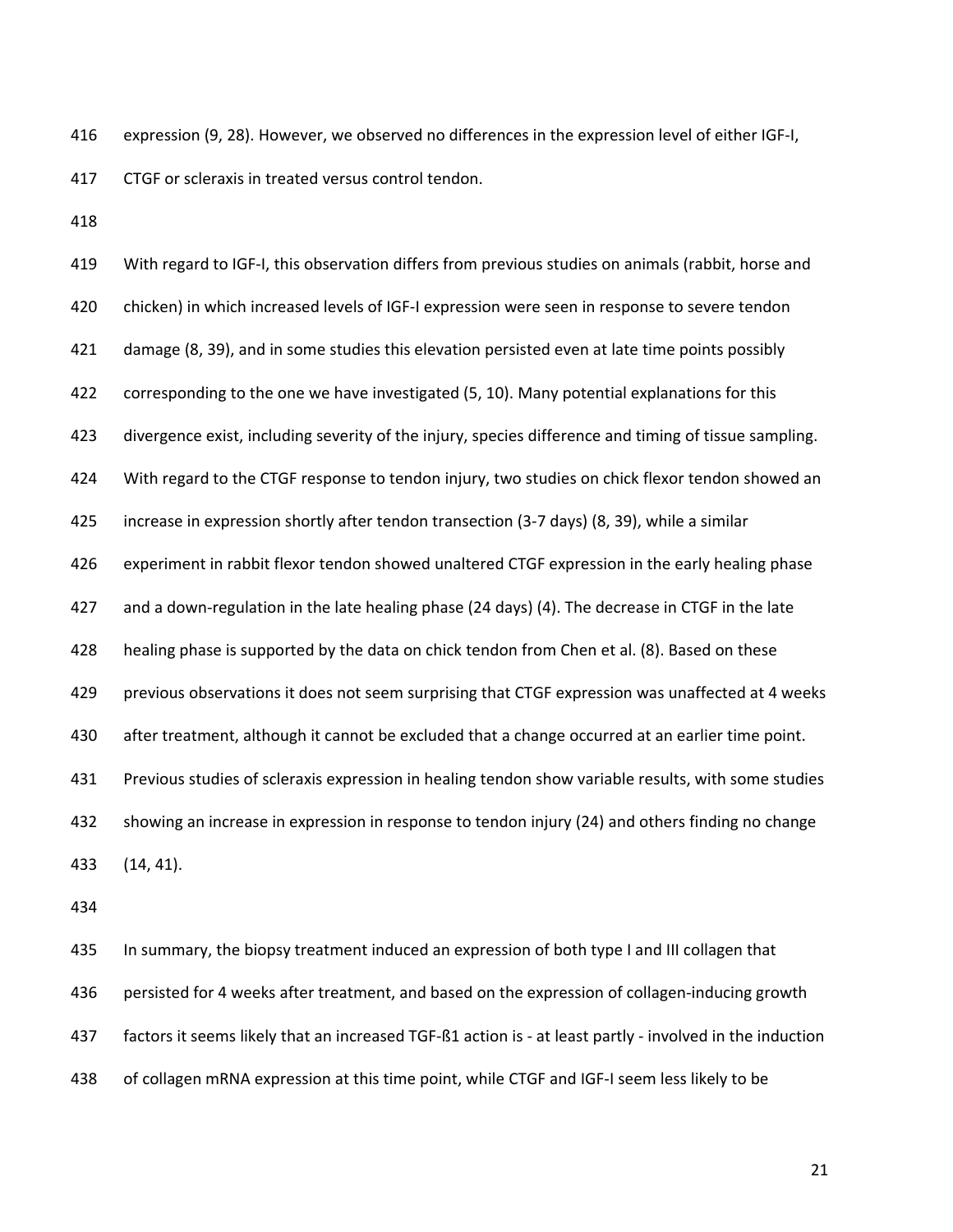416 expression (9, 28). However, we observed no differences in the expression level of either IGF-I, 417 CTGF or scleraxis in treated versus control tendon.

418

419 With regard to IGF-I, this observation differs from previous studies on animals (rabbit, horse and 420 chicken) in which increased levels of IGF-I expression were seen in response to severe tendon 421 damage (8, 39), and in some studies this elevation persisted even at late time points possibly 422 corresponding to the one we have investigated (5, 10). Many potential explanations for this 423 divergence exist, including severity of the injury, species difference and timing of tissue sampling. 424 With regard to the CTGF response to tendon injury, two studies on chick flexor tendon showed an 425 increase in expression shortly after tendon transection (3-7 days) (8, 39), while a similar 426 experiment in rabbit flexor tendon showed unaltered CTGF expression in the early healing phase 427 and a down-regulation in the late healing phase (24 days) (4). The decrease in CTGF in the late 428 healing phase is supported by the data on chick tendon from Chen et al. (8). Based on these 429 previous observations it does not seem surprising that CTGF expression was unaffected at 4 weeks 430 after treatment, although it cannot be excluded that a change occurred at an earlier time point. 431 Previous studies of scleraxis expression in healing tendon show variable results, with some studies 432 showing an increase in expression in response to tendon injury (24) and others finding no change 433 (14, 41).

434

435 In summary, the biopsy treatment induced an expression of both type I and III collagen that 436 persisted for 4 weeks after treatment, and based on the expression of collagen-inducing growth 437 factors it seems likely that an increased TGF-ß1 action is - at least partly - involved in the induction 438 of collagen mRNA expression at this time point, while CTGF and IGF-I seem less likely to be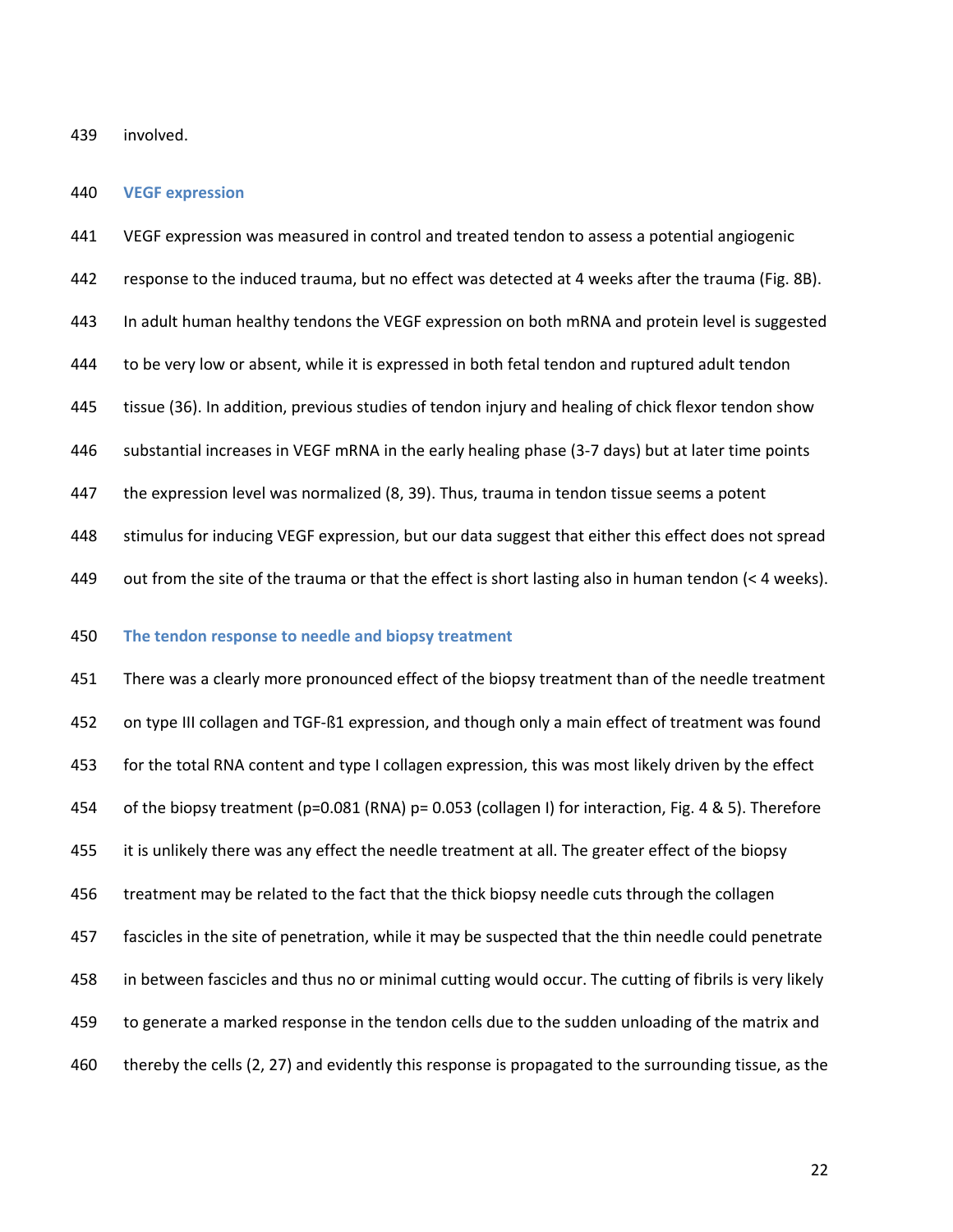439 involved.

#### 440 **VEGF expression**

441 VEGF expression was measured in control and treated tendon to assess a potential angiogenic 442 response to the induced trauma, but no effect was detected at 4 weeks after the trauma (Fig. 8B). 443 In adult human healthy tendons the VEGF expression on both mRNA and protein level is suggested 444 to be very low or absent, while it is expressed in both fetal tendon and ruptured adult tendon 445 tissue (36). In addition, previous studies of tendon injury and healing of chick flexor tendon show 446 substantial increases in VEGF mRNA in the early healing phase (3-7 days) but at later time points 447 the expression level was normalized (8, 39). Thus, trauma in tendon tissue seems a potent 448 stimulus for inducing VEGF expression, but our data suggest that either this effect does not spread 449 out from the site of the trauma or that the effect is short lasting also in human tendon (< 4 weeks).

### 450 **The tendon response to needle and biopsy treatment**

451 There was a clearly more pronounced effect of the biopsy treatment than of the needle treatment 452 on type III collagen and TGF-ß1 expression, and though only a main effect of treatment was found 453 for the total RNA content and type I collagen expression, this was most likely driven by the effect 454 of the biopsy treatment (p=0.081 (RNA) p= 0.053 (collagen I) for interaction, Fig. 4 & 5). Therefore 455 it is unlikely there was any effect the needle treatment at all. The greater effect of the biopsy 456 treatment may be related to the fact that the thick biopsy needle cuts through the collagen 457 fascicles in the site of penetration, while it may be suspected that the thin needle could penetrate 458 in between fascicles and thus no or minimal cutting would occur. The cutting of fibrils is very likely 459 to generate a marked response in the tendon cells due to the sudden unloading of the matrix and 460 thereby the cells (2, 27) and evidently this response is propagated to the surrounding tissue, as the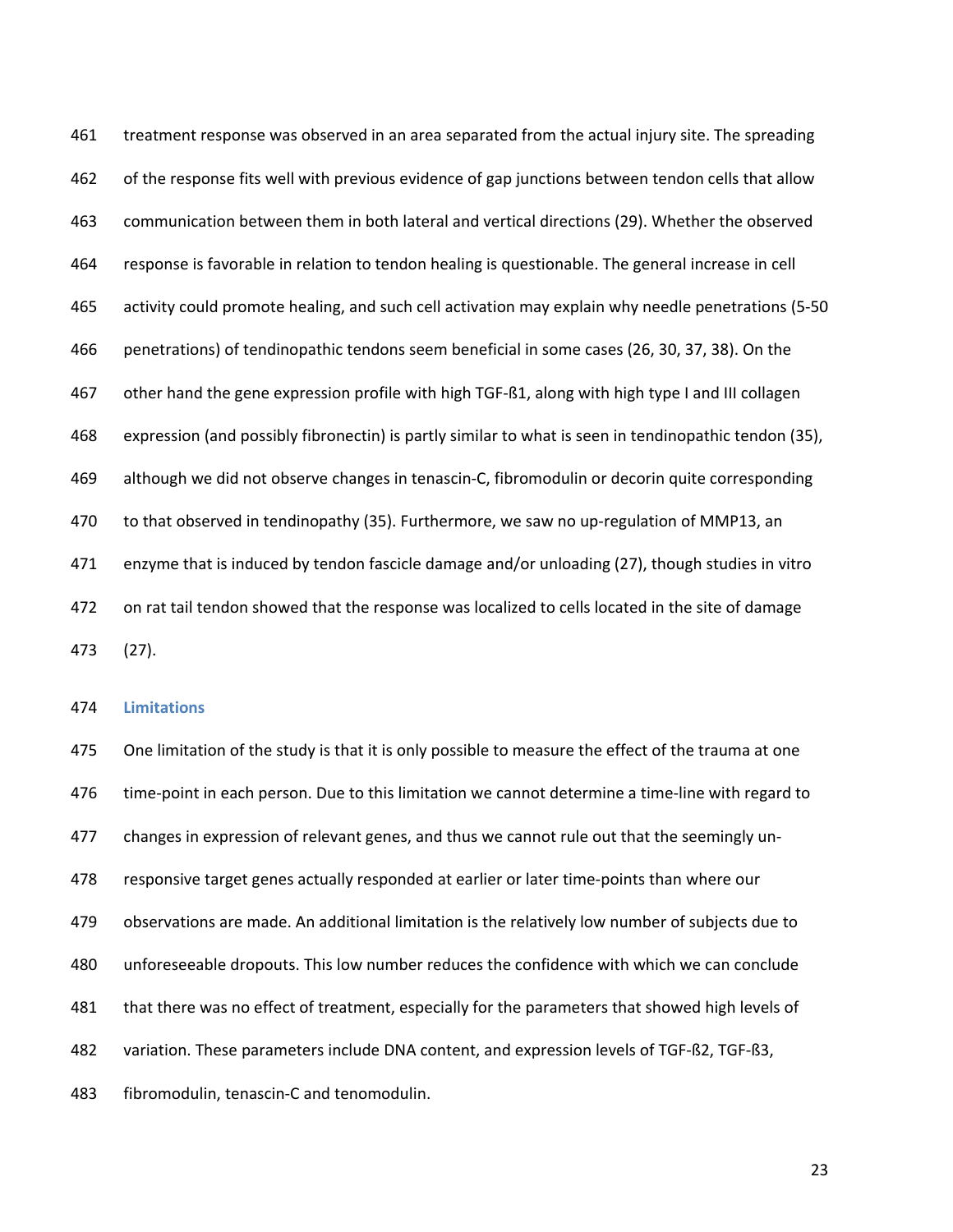461 treatment response was observed in an area separated from the actual injury site. The spreading 462 of the response fits well with previous evidence of gap junctions between tendon cells that allow 463 communication between them in both lateral and vertical directions (29). Whether the observed 464 response is favorable in relation to tendon healing is questionable. The general increase in cell 465 activity could promote healing, and such cell activation may explain why needle penetrations (5-50 466 penetrations) of tendinopathic tendons seem beneficial in some cases (26, 30, 37, 38). On the 467 other hand the gene expression profile with high TGF-ß1, along with high type I and III collagen 468 expression (and possibly fibronectin) is partly similar to what is seen in tendinopathic tendon (35), 469 although we did not observe changes in tenascin-C, fibromodulin or decorin quite corresponding 470 to that observed in tendinopathy (35). Furthermore, we saw no up-regulation of MMP13, an 471 enzyme that is induced by tendon fascicle damage and/or unloading (27), though studies in vitro 472 on rat tail tendon showed that the response was localized to cells located in the site of damage 473 (27).

#### 474 **Limitations**

475 One limitation of the study is that it is only possible to measure the effect of the trauma at one 476 time-point in each person. Due to this limitation we cannot determine a time-line with regard to 477 changes in expression of relevant genes, and thus we cannot rule out that the seemingly un-478 responsive target genes actually responded at earlier or later time-points than where our 479 observations are made. An additional limitation is the relatively low number of subjects due to 480 unforeseeable dropouts. This low number reduces the confidence with which we can conclude 481 that there was no effect of treatment, especially for the parameters that showed high levels of 482 variation. These parameters include DNA content, and expression levels of TGF-ß2, TGF-ß3, 483 fibromodulin, tenascin-C and tenomodulin.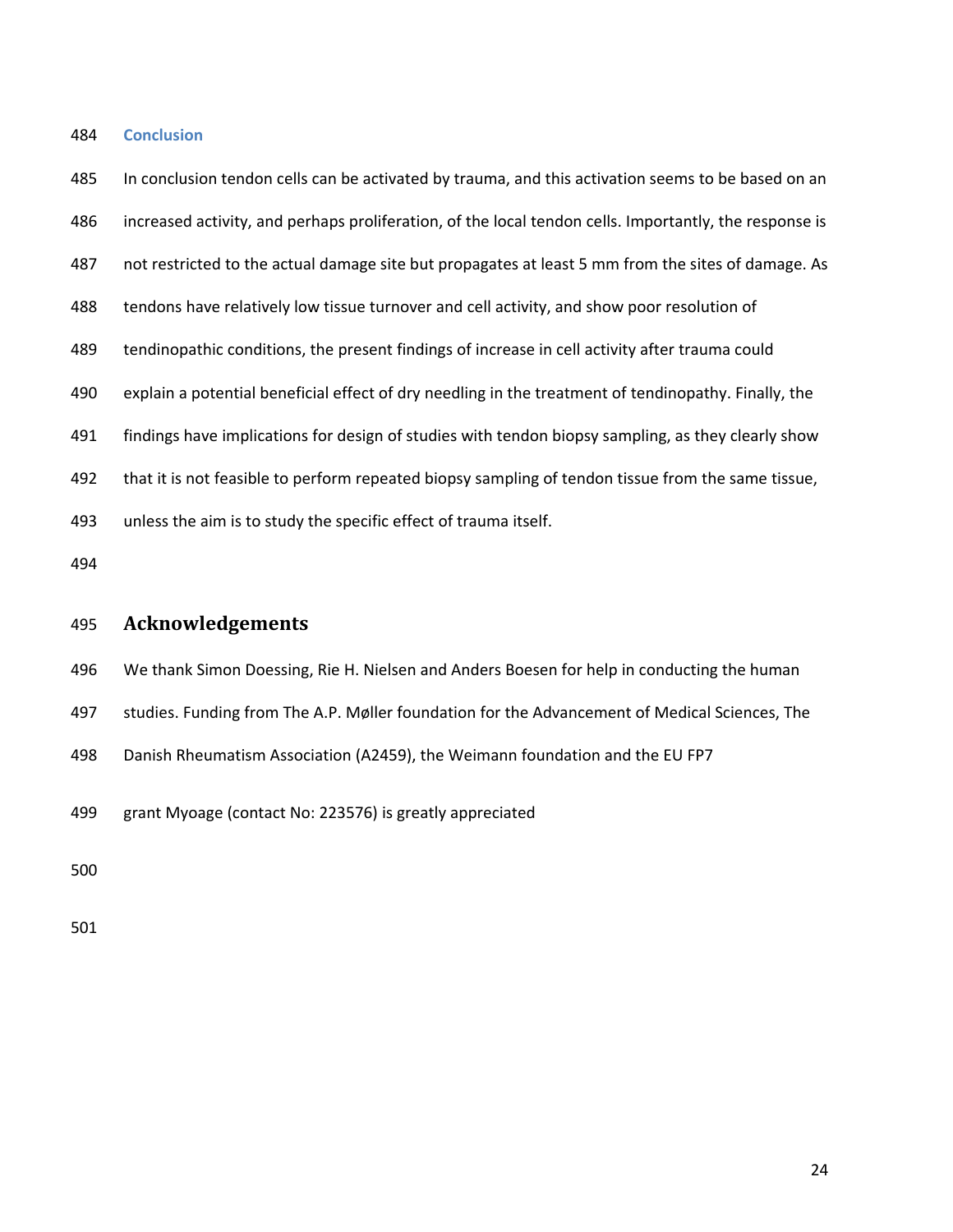#### 484 **Conclusion**

485 In conclusion tendon cells can be activated by trauma, and this activation seems to be based on an 486 increased activity, and perhaps proliferation, of the local tendon cells. Importantly, the response is 487 not restricted to the actual damage site but propagates at least 5 mm from the sites of damage. As 488 tendons have relatively low tissue turnover and cell activity, and show poor resolution of 489 tendinopathic conditions, the present findings of increase in cell activity after trauma could 490 explain a potential beneficial effect of dry needling in the treatment of tendinopathy. Finally, the 491 findings have implications for design of studies with tendon biopsy sampling, as they clearly show 492 that it is not feasible to perform repeated biopsy sampling of tendon tissue from the same tissue, 493 unless the aim is to study the specific effect of trauma itself. 494

# 495 **Acknowledgements**

496 We thank Simon Doessing, Rie H. Nielsen and Anders Boesen for help in conducting the human

497 studies. Funding from The A.P. Møller foundation for the Advancement of Medical Sciences, The

498 Danish Rheumatism Association (A2459), the Weimann foundation and the EU FP7

499 grant Myoage (contact No: 223576) is greatly appreciated

500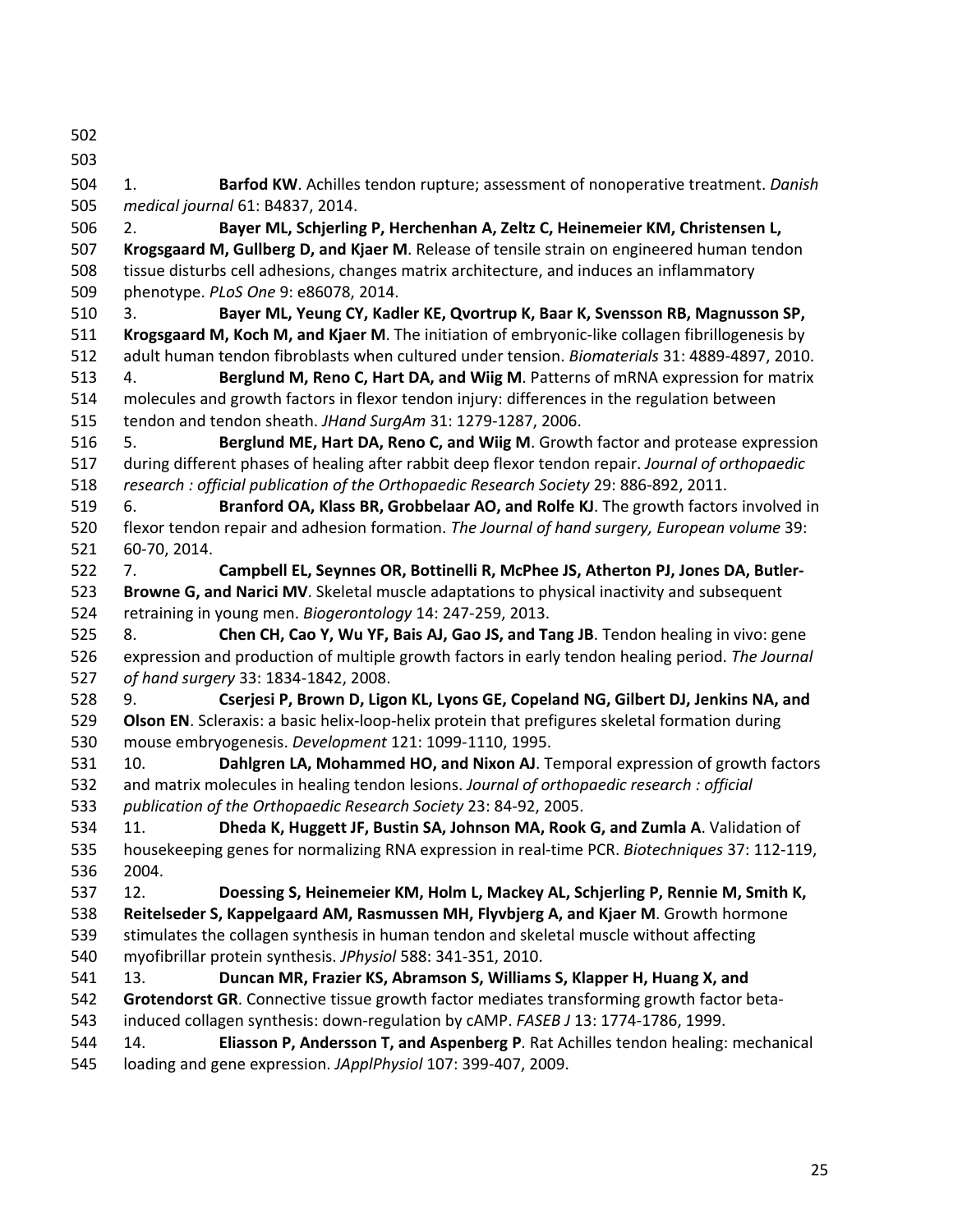502

503

504 1. **Barfod KW**. Achilles tendon rupture; assessment of nonoperative treatment. *Danish*  505 *medical journal* 61: B4837, 2014.

506 2. **Bayer ML, Schjerling P, Herchenhan A, Zeltz C, Heinemeier KM, Christensen L,**  507 **Krogsgaard M, Gullberg D, and Kjaer M**. Release of tensile strain on engineered human tendon 508 tissue disturbs cell adhesions, changes matrix architecture, and induces an inflammatory 509 phenotype. *PLoS One* 9: e86078, 2014.

510 3. **Bayer ML, Yeung CY, Kadler KE, Qvortrup K, Baar K, Svensson RB, Magnusson SP,**  511 **Krogsgaard M, Koch M, and Kjaer M**. The initiation of embryonic-like collagen fibrillogenesis by 512 adult human tendon fibroblasts when cultured under tension. *Biomaterials* 31: 4889-4897, 2010.

513 4. **Berglund M, Reno C, Hart DA, and Wiig M**. Patterns of mRNA expression for matrix 514 molecules and growth factors in flexor tendon injury: differences in the regulation between 515 tendon and tendon sheath. *JHand SurgAm* 31: 1279-1287, 2006.

516 5. **Berglund ME, Hart DA, Reno C, and Wiig M**. Growth factor and protease expression 517 during different phases of healing after rabbit deep flexor tendon repair. *Journal of orthopaedic*  518 *research : official publication of the Orthopaedic Research Society* 29: 886-892, 2011.

519 6. **Branford OA, Klass BR, Grobbelaar AO, and Rolfe KJ**. The growth factors involved in 520 flexor tendon repair and adhesion formation. *The Journal of hand surgery, European volume* 39: 521 60-70, 2014.

522 7. **Campbell EL, Seynnes OR, Bottinelli R, McPhee JS, Atherton PJ, Jones DA, Butler-**523 **Browne G, and Narici MV**. Skeletal muscle adaptations to physical inactivity and subsequent 524 retraining in young men. *Biogerontology* 14: 247-259, 2013.

525 8. **Chen CH, Cao Y, Wu YF, Bais AJ, Gao JS, and Tang JB**. Tendon healing in vivo: gene 526 expression and production of multiple growth factors in early tendon healing period. *The Journal*  527 *of hand surgery* 33: 1834-1842, 2008.

528 9. **Cserjesi P, Brown D, Ligon KL, Lyons GE, Copeland NG, Gilbert DJ, Jenkins NA, and**  529 **Olson EN**. Scleraxis: a basic helix-loop-helix protein that prefigures skeletal formation during 530 mouse embryogenesis. *Development* 121: 1099-1110, 1995.

531 10. **Dahlgren LA, Mohammed HO, and Nixon AJ**. Temporal expression of growth factors 532 and matrix molecules in healing tendon lesions. *Journal of orthopaedic research : official*  533 *publication of the Orthopaedic Research Society* 23: 84-92, 2005.

534 11. **Dheda K, Huggett JF, Bustin SA, Johnson MA, Rook G, and Zumla A**. Validation of 535 housekeeping genes for normalizing RNA expression in real-time PCR. *Biotechniques* 37: 112-119, 536 2004.

537 12. **Doessing S, Heinemeier KM, Holm L, Mackey AL, Schjerling P, Rennie M, Smith K,**  538 **Reitelseder S, Kappelgaard AM, Rasmussen MH, Flyvbjerg A, and Kjaer M**. Growth hormone 539 stimulates the collagen synthesis in human tendon and skeletal muscle without affecting 540 myofibrillar protein synthesis. *JPhysiol* 588: 341-351, 2010.

541 13. **Duncan MR, Frazier KS, Abramson S, Williams S, Klapper H, Huang X, and** 

542 **Grotendorst GR**. Connective tissue growth factor mediates transforming growth factor beta-543 induced collagen synthesis: down-regulation by cAMP. *FASEB J* 13: 1774-1786, 1999.

544 14. **Eliasson P, Andersson T, and Aspenberg P**. Rat Achilles tendon healing: mechanical 545 loading and gene expression. *JApplPhysiol* 107: 399-407, 2009.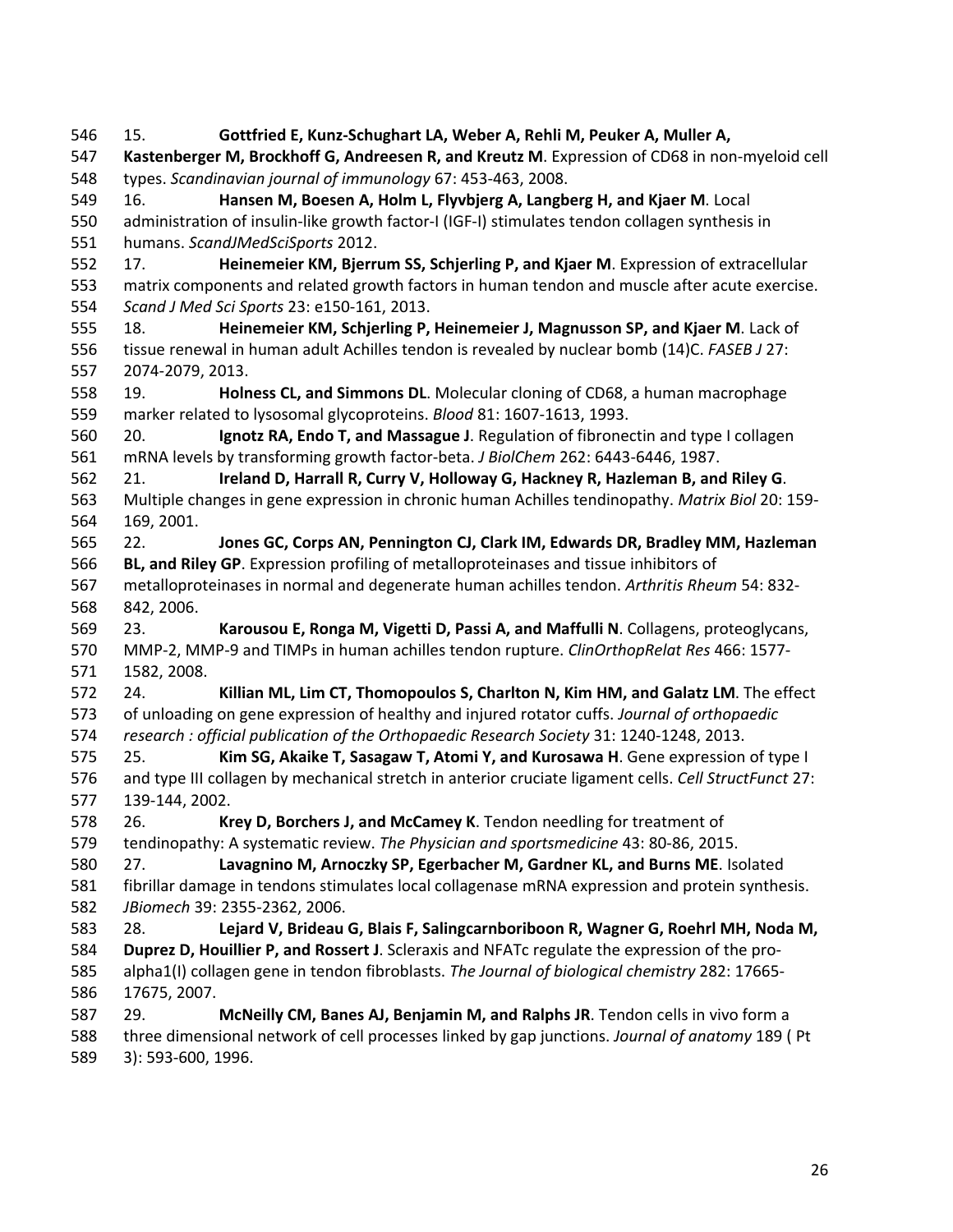546 15. **Gottfried E, Kunz-Schughart LA, Weber A, Rehli M, Peuker A, Muller A,**  547 **Kastenberger M, Brockhoff G, Andreesen R, and Kreutz M**. Expression of CD68 in non-myeloid cell 548 types. *Scandinavian journal of immunology* 67: 453-463, 2008. 549 16. **Hansen M, Boesen A, Holm L, Flyvbjerg A, Langberg H, and Kjaer M**. Local 550 administration of insulin-like growth factor-I (IGF-I) stimulates tendon collagen synthesis in 551 humans. *ScandJMedSciSports* 2012. 552 17. **Heinemeier KM, Bjerrum SS, Schjerling P, and Kjaer M**. Expression of extracellular 553 matrix components and related growth factors in human tendon and muscle after acute exercise. 554 *Scand J Med Sci Sports* 23: e150-161, 2013. 555 18. **Heinemeier KM, Schjerling P, Heinemeier J, Magnusson SP, and Kjaer M**. Lack of 556 tissue renewal in human adult Achilles tendon is revealed by nuclear bomb (14)C. *FASEB J* 27: 557 2074-2079, 2013. 558 19. **Holness CL, and Simmons DL**. Molecular cloning of CD68, a human macrophage 559 marker related to lysosomal glycoproteins. *Blood* 81: 1607-1613, 1993. 560 20. **Ignotz RA, Endo T, and Massague J**. Regulation of fibronectin and type I collagen 561 mRNA levels by transforming growth factor-beta. *J BiolChem* 262: 6443-6446, 1987. 562 21. **Ireland D, Harrall R, Curry V, Holloway G, Hackney R, Hazleman B, and Riley G**. 563 Multiple changes in gene expression in chronic human Achilles tendinopathy. *Matrix Biol* 20: 159- 564 169, 2001. 565 22. **Jones GC, Corps AN, Pennington CJ, Clark IM, Edwards DR, Bradley MM, Hazleman**  566 **BL, and Riley GP**. Expression profiling of metalloproteinases and tissue inhibitors of 567 metalloproteinases in normal and degenerate human achilles tendon. *Arthritis Rheum* 54: 832- 568 842, 2006. 569 23. **Karousou E, Ronga M, Vigetti D, Passi A, and Maffulli N**. Collagens, proteoglycans, 570 MMP-2, MMP-9 and TIMPs in human achilles tendon rupture. *ClinOrthopRelat Res* 466: 1577- 571 1582, 2008. 572 24. **Killian ML, Lim CT, Thomopoulos S, Charlton N, Kim HM, and Galatz LM**. The effect 573 of unloading on gene expression of healthy and injured rotator cuffs. *Journal of orthopaedic*  574 *research : official publication of the Orthopaedic Research Society* 31: 1240-1248, 2013. 575 25. **Kim SG, Akaike T, Sasagaw T, Atomi Y, and Kurosawa H**. Gene expression of type I 576 and type III collagen by mechanical stretch in anterior cruciate ligament cells. *Cell StructFunct* 27: 577 139-144, 2002. 578 26. **Krey D, Borchers J, and McCamey K**. Tendon needling for treatment of 579 tendinopathy: A systematic review. *The Physician and sportsmedicine* 43: 80-86, 2015. 580 27. **Lavagnino M, Arnoczky SP, Egerbacher M, Gardner KL, and Burns ME**. Isolated 581 fibrillar damage in tendons stimulates local collagenase mRNA expression and protein synthesis. 582 *JBiomech* 39: 2355-2362, 2006. 583 28. **Lejard V, Brideau G, Blais F, Salingcarnboriboon R, Wagner G, Roehrl MH, Noda M,**  584 **Duprez D, Houillier P, and Rossert J**. Scleraxis and NFATc regulate the expression of the pro-585 alpha1(I) collagen gene in tendon fibroblasts. *The Journal of biological chemistry* 282: 17665- 586 17675, 2007. 587 29. **McNeilly CM, Banes AJ, Benjamin M, and Ralphs JR**. Tendon cells in vivo form a 588 three dimensional network of cell processes linked by gap junctions. *Journal of anatomy* 189 ( Pt 589 3): 593-600, 1996.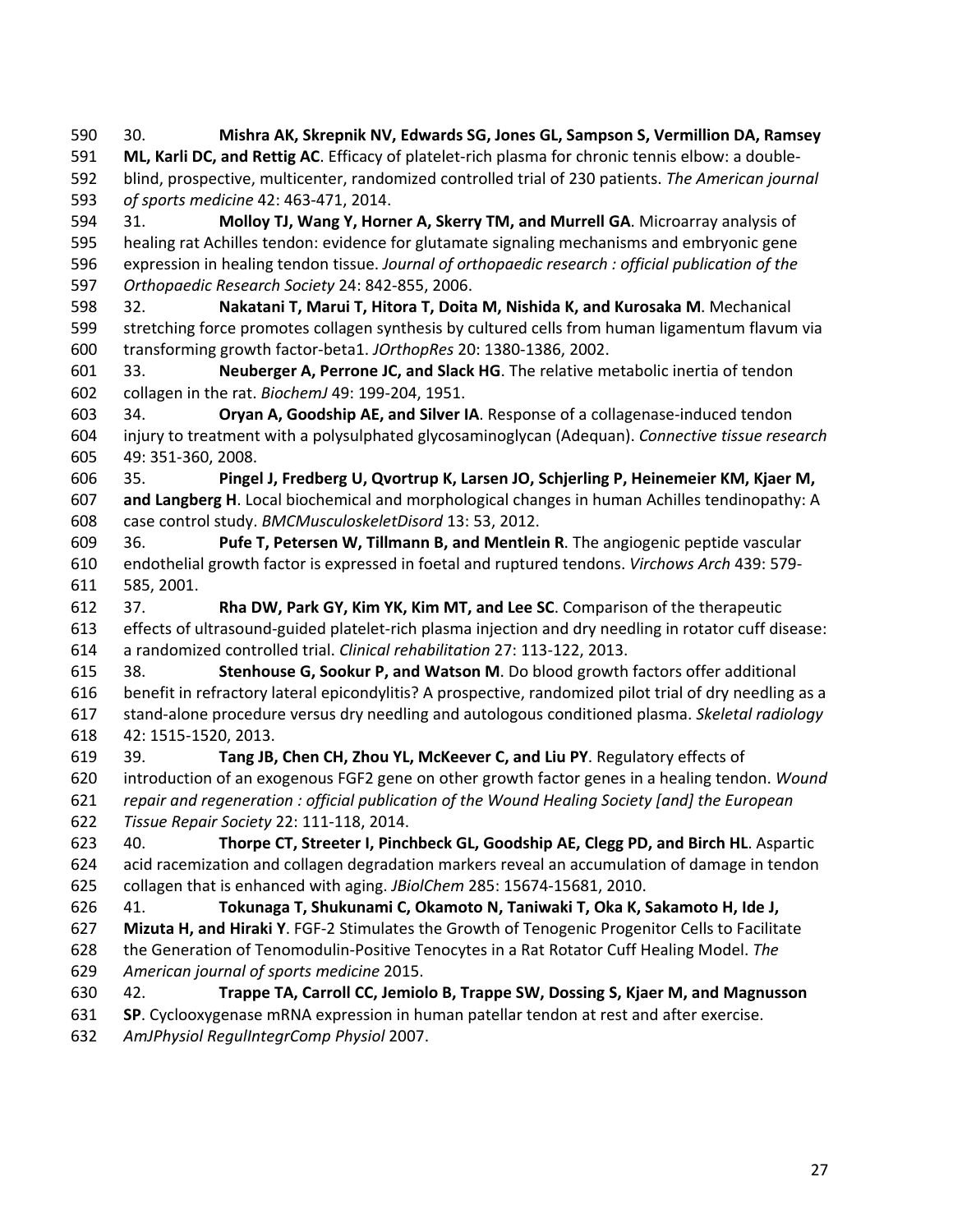590 30. **Mishra AK, Skrepnik NV, Edwards SG, Jones GL, Sampson S, Vermillion DA, Ramsey**  591 **ML, Karli DC, and Rettig AC**. Efficacy of platelet-rich plasma for chronic tennis elbow: a double-592 blind, prospective, multicenter, randomized controlled trial of 230 patients. *The American journal*  593 *of sports medicine* 42: 463-471, 2014. 594 31. **Molloy TJ, Wang Y, Horner A, Skerry TM, and Murrell GA**. Microarray analysis of 595 healing rat Achilles tendon: evidence for glutamate signaling mechanisms and embryonic gene 596 expression in healing tendon tissue. *Journal of orthopaedic research : official publication of the*  597 *Orthopaedic Research Society* 24: 842-855, 2006. 598 32. **Nakatani T, Marui T, Hitora T, Doita M, Nishida K, and Kurosaka M**. Mechanical 599 stretching force promotes collagen synthesis by cultured cells from human ligamentum flavum via 600 transforming growth factor-beta1. *JOrthopRes* 20: 1380-1386, 2002. 601 33. **Neuberger A, Perrone JC, and Slack HG**. The relative metabolic inertia of tendon 602 collagen in the rat. *BiochemJ* 49: 199-204, 1951. 603 34. **Oryan A, Goodship AE, and Silver IA**. Response of a collagenase-induced tendon 604 injury to treatment with a polysulphated glycosaminoglycan (Adequan). *Connective tissue research*  605 49: 351-360, 2008. 606 35. **Pingel J, Fredberg U, Qvortrup K, Larsen JO, Schjerling P, Heinemeier KM, Kjaer M,**  607 **and Langberg H**. Local biochemical and morphological changes in human Achilles tendinopathy: A 608 case control study. *BMCMusculoskeletDisord* 13: 53, 2012. 609 36. **Pufe T, Petersen W, Tillmann B, and Mentlein R**. The angiogenic peptide vascular 610 endothelial growth factor is expressed in foetal and ruptured tendons. *Virchows Arch* 439: 579- 611 585, 2001. 612 37. **Rha DW, Park GY, Kim YK, Kim MT, and Lee SC**. Comparison of the therapeutic 613 effects of ultrasound-guided platelet-rich plasma injection and dry needling in rotator cuff disease: 614 a randomized controlled trial. *Clinical rehabilitation* 27: 113-122, 2013. 615 38. **Stenhouse G, Sookur P, and Watson M**. Do blood growth factors offer additional 616 benefit in refractory lateral epicondylitis? A prospective, randomized pilot trial of dry needling as a 617 stand-alone procedure versus dry needling and autologous conditioned plasma. *Skeletal radiology*  618 42: 1515-1520, 2013. 619 39. **Tang JB, Chen CH, Zhou YL, McKeever C, and Liu PY**. Regulatory effects of 620 introduction of an exogenous FGF2 gene on other growth factor genes in a healing tendon. *Wound*  621 *repair and regeneration : official publication of the Wound Healing Society [and] the European*  622 *Tissue Repair Society* 22: 111-118, 2014. 623 40. **Thorpe CT, Streeter I, Pinchbeck GL, Goodship AE, Clegg PD, and Birch HL**. Aspartic 624 acid racemization and collagen degradation markers reveal an accumulation of damage in tendon 625 collagen that is enhanced with aging. *JBiolChem* 285: 15674-15681, 2010. 626 41. **Tokunaga T, Shukunami C, Okamoto N, Taniwaki T, Oka K, Sakamoto H, Ide J,**  627 **Mizuta H, and Hiraki Y**. FGF-2 Stimulates the Growth of Tenogenic Progenitor Cells to Facilitate 628 the Generation of Tenomodulin-Positive Tenocytes in a Rat Rotator Cuff Healing Model. *The*  629 *American journal of sports medicine* 2015. 630 42. **Trappe TA, Carroll CC, Jemiolo B, Trappe SW, Dossing S, Kjaer M, and Magnusson**  631 **SP**. Cyclooxygenase mRNA expression in human patellar tendon at rest and after exercise. 632 *AmJPhysiol RegulIntegrComp Physiol* 2007.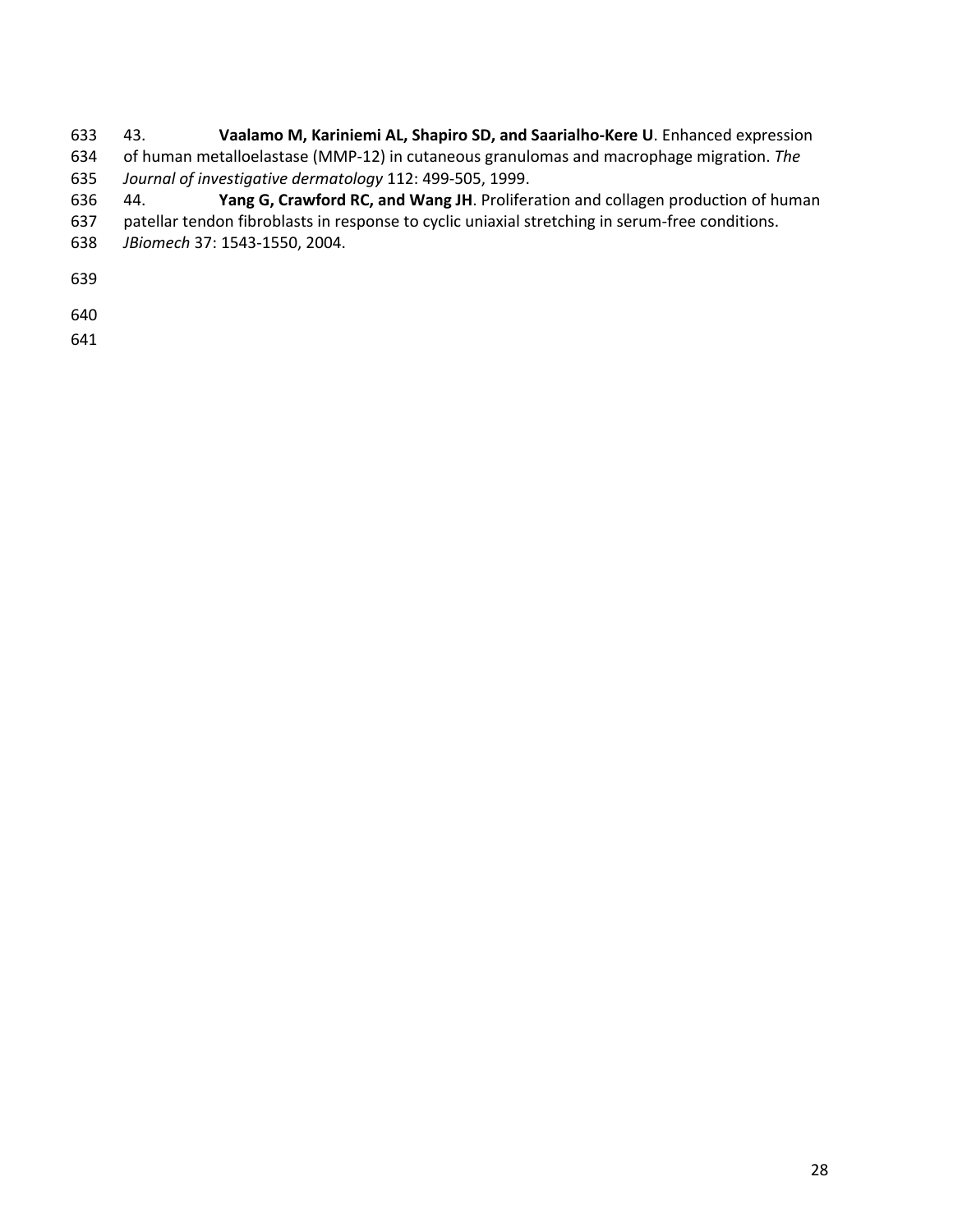- 633 43. **Vaalamo M, Kariniemi AL, Shapiro SD, and Saarialho-Kere U**. Enhanced expression 634 of human metalloelastase (MMP-12) in cutaneous granulomas and macrophage migration. *The*
- 635 *Journal of investigative dermatology* 112: 499-505, 1999.
- 636 44. **Yang G, Crawford RC, and Wang JH**. Proliferation and collagen production of human
- 637 patellar tendon fibroblasts in response to cyclic uniaxial stretching in serum-free conditions.
- 638 *JBiomech* 37: 1543-1550, 2004.
- 639
- 640
- 641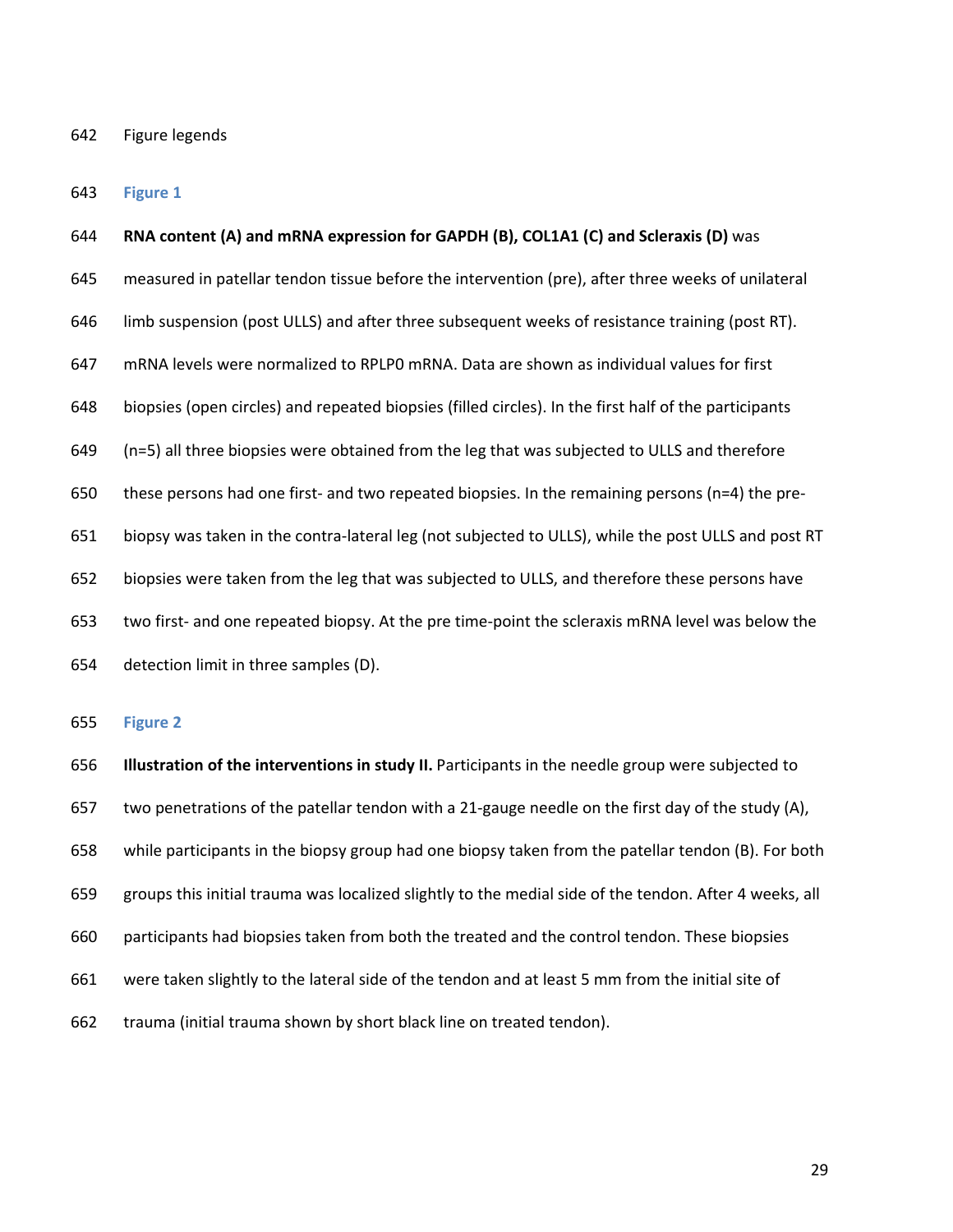#### 642 Figure legends

#### 643 **Figure 1**

# 644 **RNA content (A) and mRNA expression for GAPDH (B), COL1A1 (C) and Scleraxis (D)** was

645 measured in patellar tendon tissue before the intervention (pre), after three weeks of unilateral

646 limb suspension (post ULLS) and after three subsequent weeks of resistance training (post RT).

647 mRNA levels were normalized to RPLP0 mRNA. Data are shown as individual values for first

648 biopsies (open circles) and repeated biopsies (filled circles). In the first half of the participants

649 (n=5) all three biopsies were obtained from the leg that was subjected to ULLS and therefore

650 these persons had one first- and two repeated biopsies. In the remaining persons (n=4) the pre-

651 biopsy was taken in the contra-lateral leg (not subjected to ULLS), while the post ULLS and post RT

652 biopsies were taken from the leg that was subjected to ULLS, and therefore these persons have

653 two first- and one repeated biopsy. At the pre time-point the scleraxis mRNA level was below the

654 detection limit in three samples (D).

#### 655 **Figure 2**

656 **Illustration of the interventions in study II.** Participants in the needle group were subjected to 657 two penetrations of the patellar tendon with a 21-gauge needle on the first day of the study (A), 658 while participants in the biopsy group had one biopsy taken from the patellar tendon (B). For both 659 groups this initial trauma was localized slightly to the medial side of the tendon. After 4 weeks, all 660 participants had biopsies taken from both the treated and the control tendon. These biopsies 661 were taken slightly to the lateral side of the tendon and at least 5 mm from the initial site of 662 trauma (initial trauma shown by short black line on treated tendon).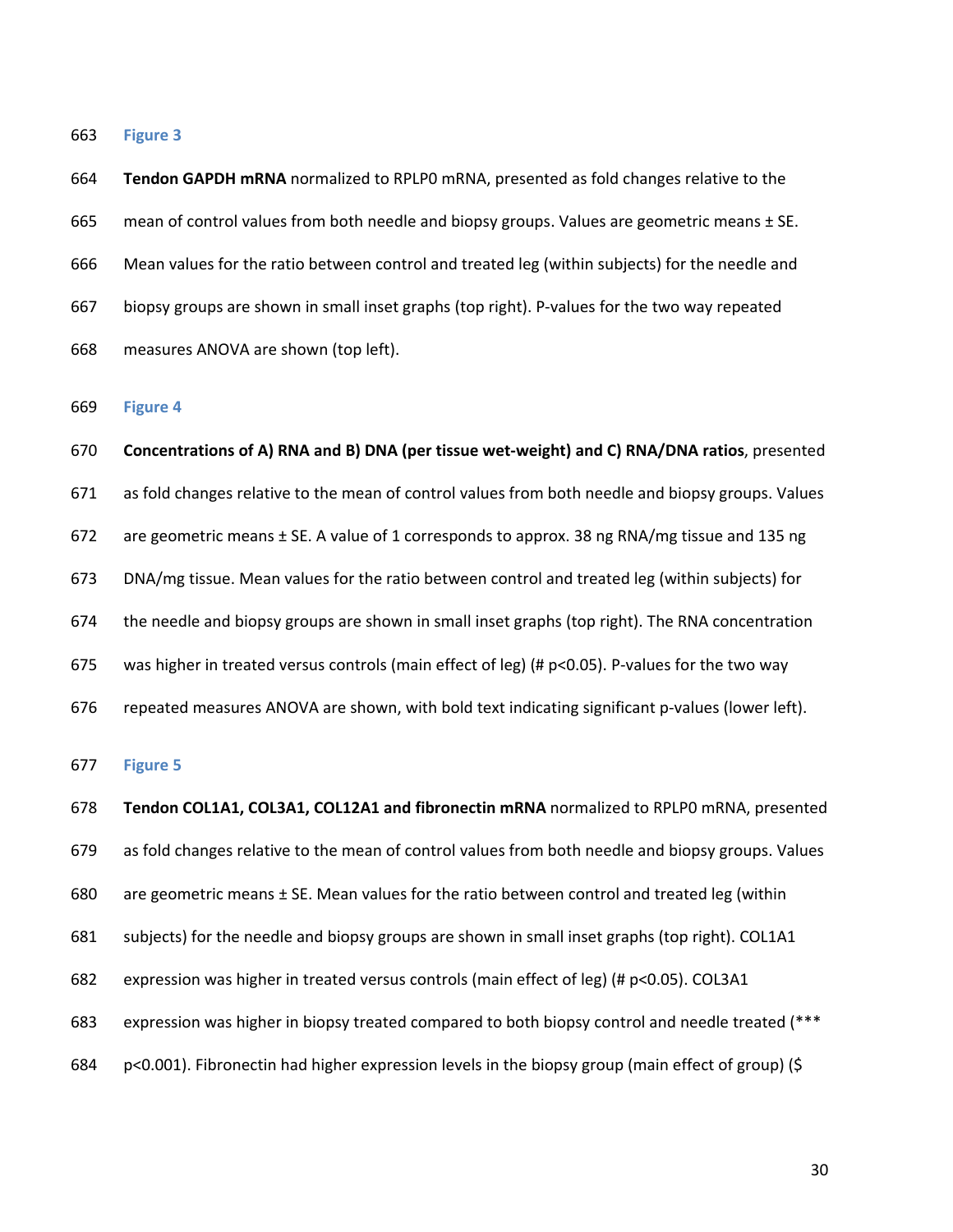664 **Tendon GAPDH mRNA** normalized to RPLP0 mRNA, presented as fold changes relative to the 665 mean of control values from both needle and biopsy groups. Values are geometric means  $\pm$  SE. 666 Mean values for the ratio between control and treated leg (within subjects) for the needle and 667 biopsy groups are shown in small inset graphs (top right). P-values for the two way repeated 668 measures ANOVA are shown (top left).

669 **Figure 4** 

670 **Concentrations of A) RNA and B) DNA (per tissue wet-weight) and C) RNA/DNA ratios**, presented 671 as fold changes relative to the mean of control values from both needle and biopsy groups. Values 672 are geometric means  $\pm$  SE. A value of 1 corresponds to approx. 38 ng RNA/mg tissue and 135 ng 673 DNA/mg tissue. Mean values for the ratio between control and treated leg (within subjects) for 674 the needle and biopsy groups are shown in small inset graphs (top right). The RNA concentration 675 was higher in treated versus controls (main effect of leg) (# p<0.05). P-values for the two way 676 repeated measures ANOVA are shown, with bold text indicating significant p-values (lower left).

677 **Figure 5** 

678 **Tendon COL1A1, COL3A1, COL12A1 and fibronectin mRNA** normalized to RPLP0 mRNA, presented 679 as fold changes relative to the mean of control values from both needle and biopsy groups. Values 680 are geometric means  $\pm$  SE. Mean values for the ratio between control and treated leg (within 681 subjects) for the needle and biopsy groups are shown in small inset graphs (top right). COL1A1 682 expression was higher in treated versus controls (main effect of leg) (# p<0.05). COL3A1 683 expression was higher in biopsy treated compared to both biopsy control and needle treated (\*\*\* 684 p<0.001). Fibronectin had higher expression levels in the biopsy group (main effect of group) (\$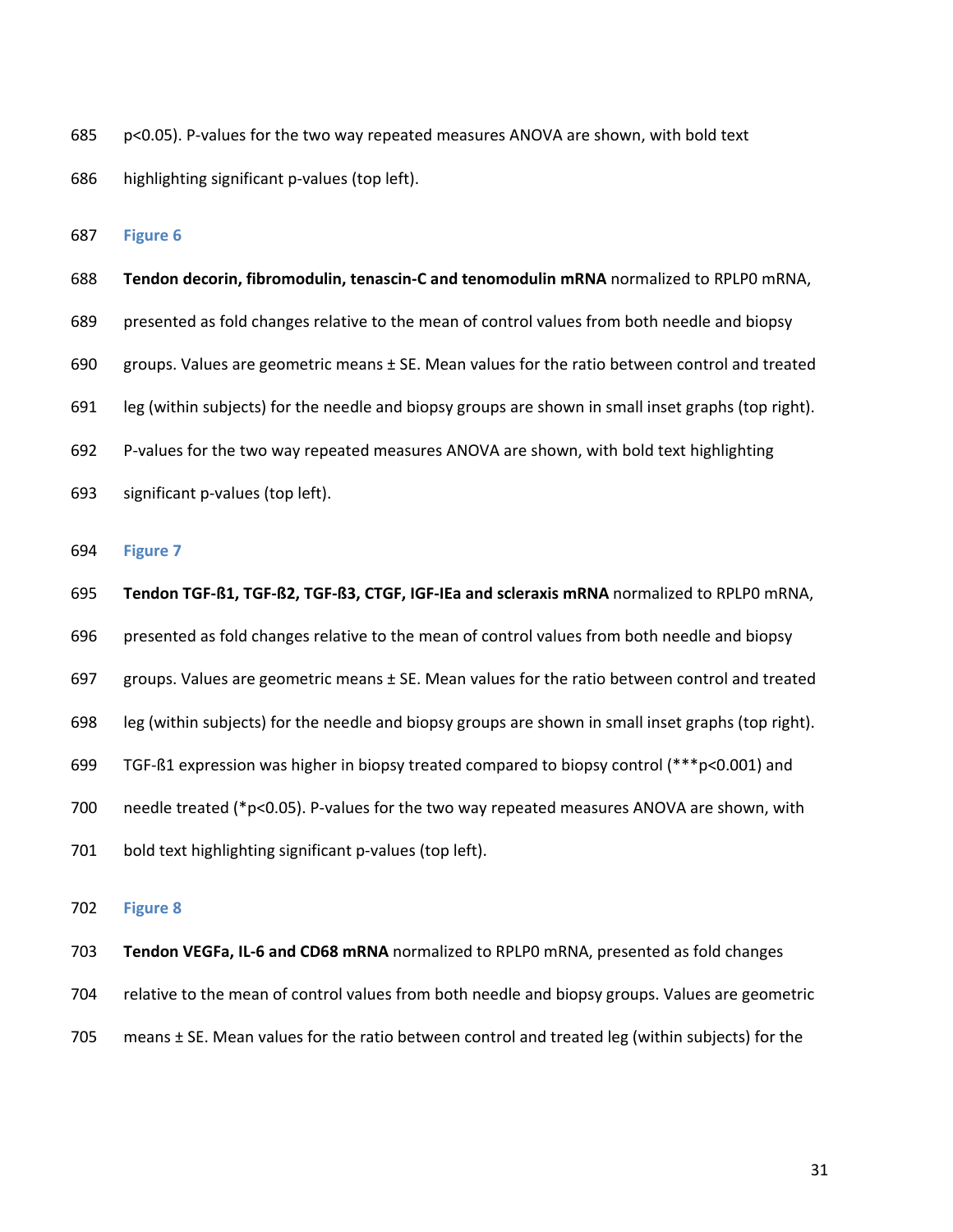- 685 p<0.05). P-values for the two way repeated measures ANOVA are shown, with bold text
- 686 highlighting significant p-values (top left).

- 688 **Tendon decorin, fibromodulin, tenascin-C and tenomodulin mRNA** normalized to RPLP0 mRNA, 689 presented as fold changes relative to the mean of control values from both needle and biopsy 690 groups. Values are geometric means ± SE. Mean values for the ratio between control and treated 691 leg (within subjects) for the needle and biopsy groups are shown in small inset graphs (top right). 692 P-values for the two way repeated measures ANOVA are shown, with bold text highlighting 693 significant p-values (top left).
- 694 **Figure 7**
- 695 **Tendon TGF-ß1, TGF-ß2, TGF-ß3, CTGF, IGF-IEa and scleraxis mRNA** normalized to RPLP0 mRNA,
- 696 presented as fold changes relative to the mean of control values from both needle and biopsy
- 697 groups. Values are geometric means  $\pm$  SE. Mean values for the ratio between control and treated
- 698 leg (within subjects) for the needle and biopsy groups are shown in small inset graphs (top right).
- 699 TGF-ß1 expression was higher in biopsy treated compared to biopsy control (\*\*\*p<0.001) and
- 700 needle treated (\*p<0.05). P-values for the two way repeated measures ANOVA are shown, with
- 701 bold text highlighting significant p-values (top left).

### 702 **Figure 8**

703 **Tendon VEGFa, IL-6 and CD68 mRNA** normalized to RPLP0 mRNA, presented as fold changes

- 704 relative to the mean of control values from both needle and biopsy groups. Values are geometric
- 705 means  $\pm$  SE. Mean values for the ratio between control and treated leg (within subjects) for the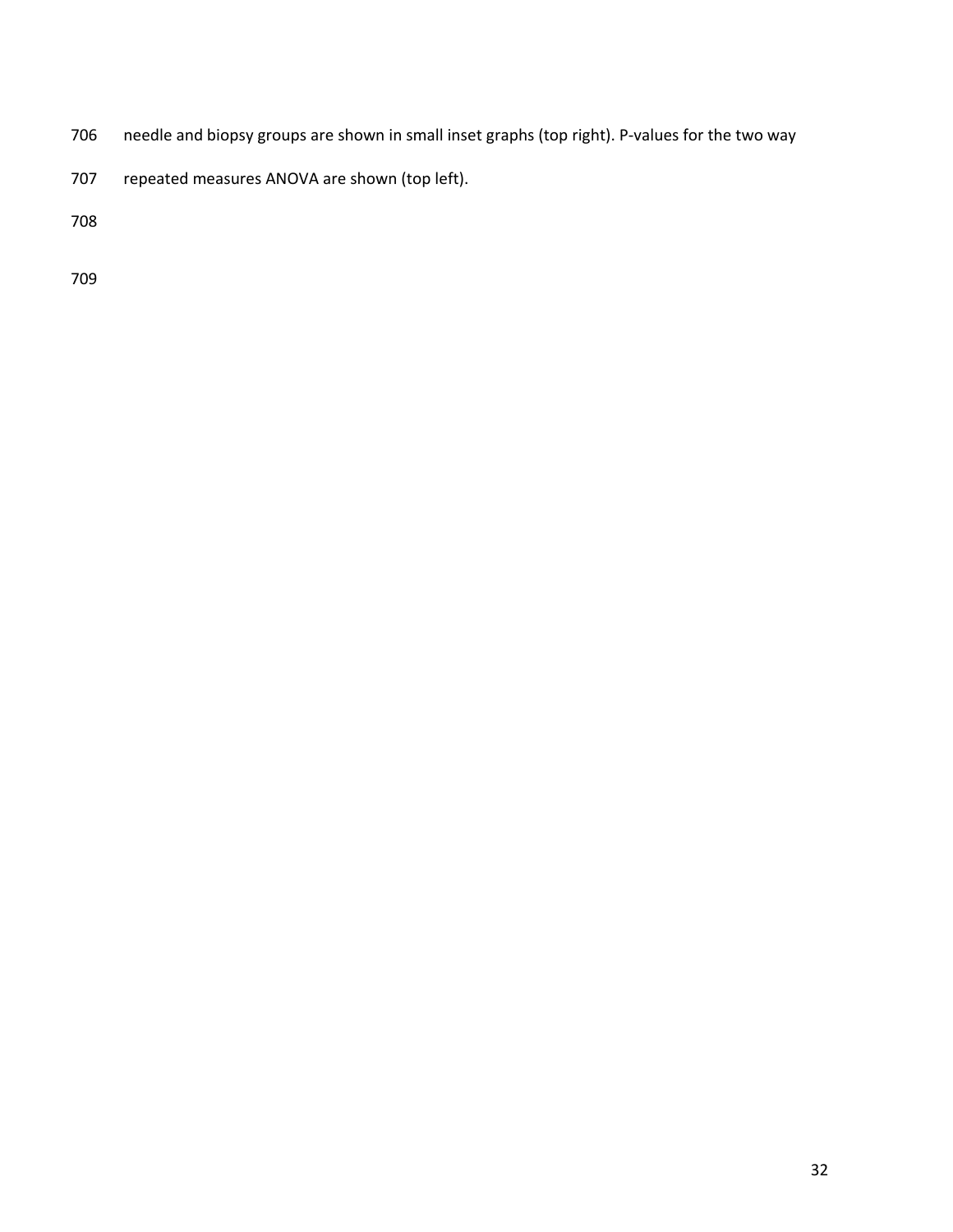- 706 needle and biopsy groups are shown in small inset graphs (top right). P-values for the two way
- 707 repeated measures ANOVA are shown (top left).

708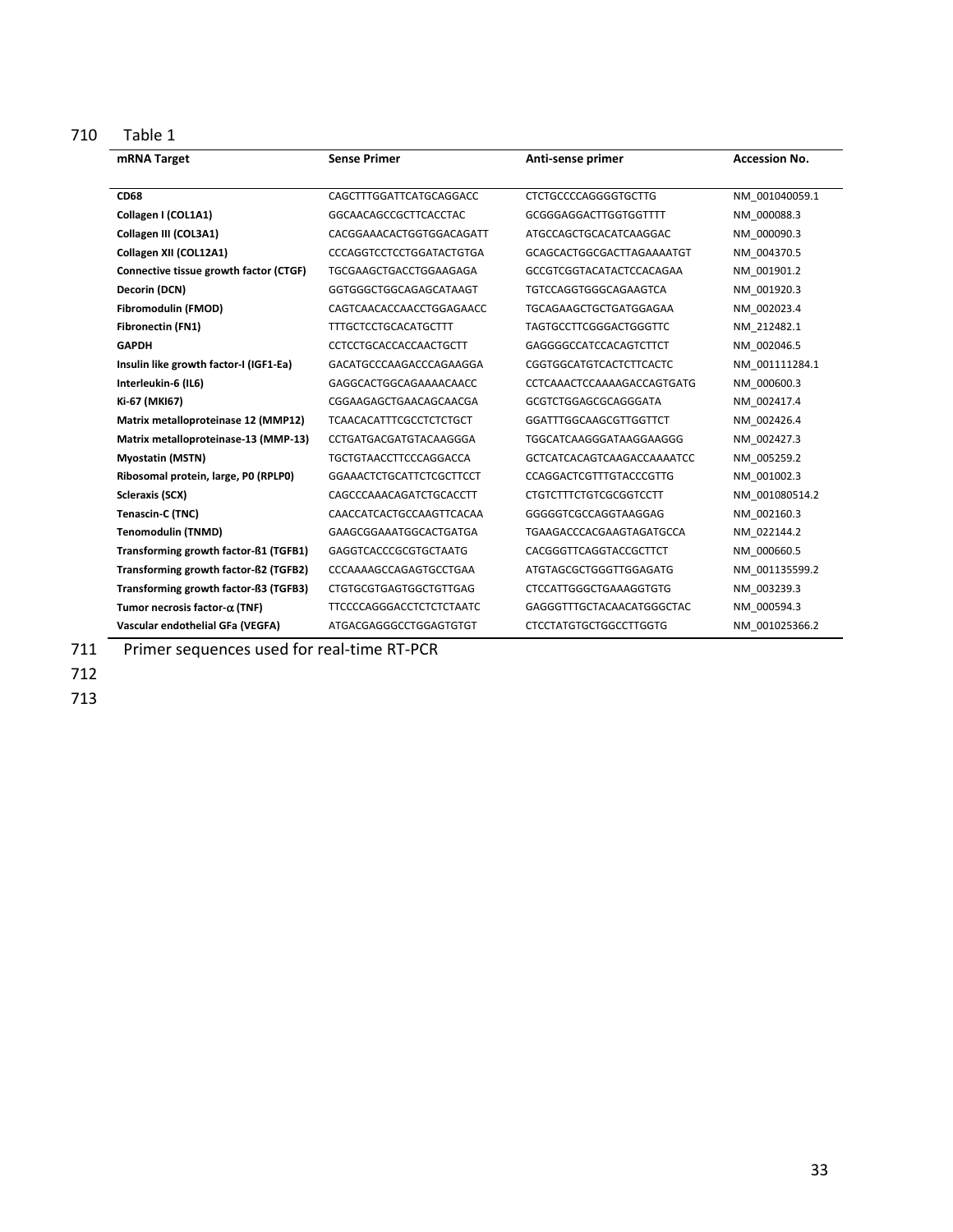710 Table 1

| mRNA Target                            | <b>Sense Primer</b>             | Anti-sense primer              | <b>Accession No.</b> |
|----------------------------------------|---------------------------------|--------------------------------|----------------------|
| <b>CD68</b>                            | CAGCTTTGGATTCATGCAGGACC         | <b>CTCTGCCCCAGGGGTGCTTG</b>    | NM 001040059.1       |
| Collagen I (COL1A1)                    | GGCAACAGCCGCTTCACCTAC           | GCGGGAGGACTTGGTGGTTTT          | NM 000088.3          |
| Collagen III (COL3A1)                  | CACGGAAACACTGGTGGACAGATT        | ATGCCAGCTGCACATCAAGGAC         | NM 000090.3          |
| Collagen XII (COL12A1)                 | CCCAGGTCCTCCTGGATACTGTGA        | GCAGCACTGGCGACTTAGAAAATGT      | NM 004370.5          |
| Connective tissue growth factor (CTGF) | TGCGAAGCTGACCTGGAAGAGA          | GCCGTCGGTACATACTCCACAGAA       | NM 001901.2          |
| Decorin (DCN)                          | GGTGGGCTGGCAGAGCATAAGT          | TGTCCAGGTGGGCAGAAGTCA          | NM 001920.3          |
| Fibromodulin (FMOD)                    | CAGTCAACACCAACCTGGAGAACC        | TGCAGAAGCTGCTGATGGAGAA         | NM 002023.4          |
| Fibronectin (FN1)                      | <b>TTTGCTCCTGCACATGCTTT</b>     | <b>TAGTGCCTTCGGGACTGGGTTC</b>  | NM 212482.1          |
| <b>GAPDH</b>                           | CCTCCTGCACCACCAACTGCTT          | GAGGGGCCATCCACAGTCTTCT         | NM 002046.5          |
| Insulin like growth factor-I (IGF1-Ea) | GACATGCCCAAGACCCAGAAGGA         | CGGTGGCATGTCACTCTTCACTC        | NM 001111284.1       |
| Interleukin-6 (IL6)                    | GAGGCACTGGCAGAAAACAACC          | CCTCAAACTCCAAAAGACCAGTGATG     | NM 000600.3          |
| Ki-67 (MKI67)                          | CGGAAGAGCTGAACAGCAACGA          | GCGTCTGGAGCGCAGGGATA           | NM 002417.4          |
| Matrix metalloproteinase 12 (MMP12)    | <b>TCAACACATTTCGCCTCTCTGCT</b>  | GGATTTGGCAAGCGTTGGTTCT         | NM 002426.4          |
| Matrix metalloproteinase-13 (MMP-13)   | CCTGATGACGATGTACAAGGGA          | TGGCATCAAGGGATAAGGAAGGG        | NM 002427.3          |
| <b>Myostatin (MSTN)</b>                | TGCTGTAACCTTCCCAGGACCA          | GCTCATCACAGTCAAGACCAAAATCC     | NM 005259.2          |
| Ribosomal protein, large, P0 (RPLP0)   | GGAAACTCTGCATTCTCGCTTCCT        | <b>CCAGGACTCGTTTGTACCCGTTG</b> | NM 001002.3          |
| Scleraxis (SCX)                        | CAGCCCAAACAGATCTGCACCTT         | <b>CTGTCTTTCTGTCGCGGTCCTT</b>  | NM 001080514.2       |
| Tenascin-C (TNC)                       | CAACCATCACTGCCAAGTTCACAA        | GGGGGTCGCCAGGTAAGGAG           | NM 002160.3          |
| <b>Tenomodulin (TNMD)</b>              | GAAGCGGAAATGGCACTGATGA          | TGAAGACCCACGAAGTAGATGCCA       | NM 022144.2          |
| Transforming growth factor-ß1 (TGFB1)  | GAGGTCACCCGCGTGCTAATG           | CACGGGTTCAGGTACCGCTTCT         | NM 000660.5          |
| Transforming growth factor-ß2 (TGFB2)  | CCCAAAAGCCAGAGTGCCTGAA          | ATGTAGCGCTGGGTTGGAGATG         | NM 001135599.2       |
| Transforming growth factor-ß3 (TGFB3)  | <b>CTGTGCGTGAGTGGCTGTTGAG</b>   | <b>CTCCATTGGGCTGAAAGGTGTG</b>  | NM 003239.3          |
| Tumor necrosis factor- $\alpha$ (TNF)  | <b>TTCCCCAGGGACCTCTCTCTAATC</b> | GAGGGTTTGCTACAACATGGGCTAC      | NM 000594.3          |
| Vascular endothelial GFa (VEGFA)       | ATGACGAGGGCCTGGAGTGTGT          | <b>CTCCTATGTGCTGGCCTTGGTG</b>  | NM 001025366.2       |

712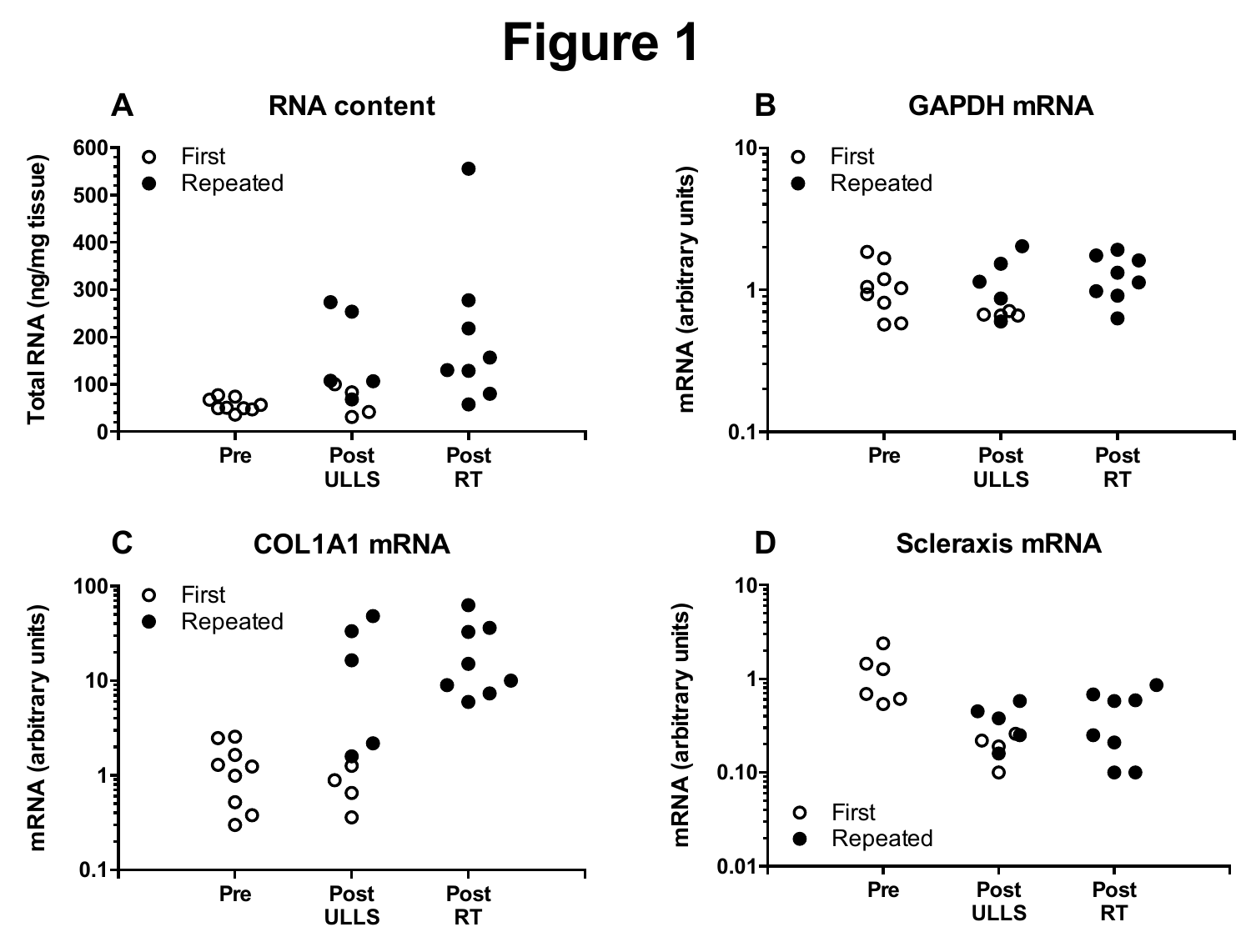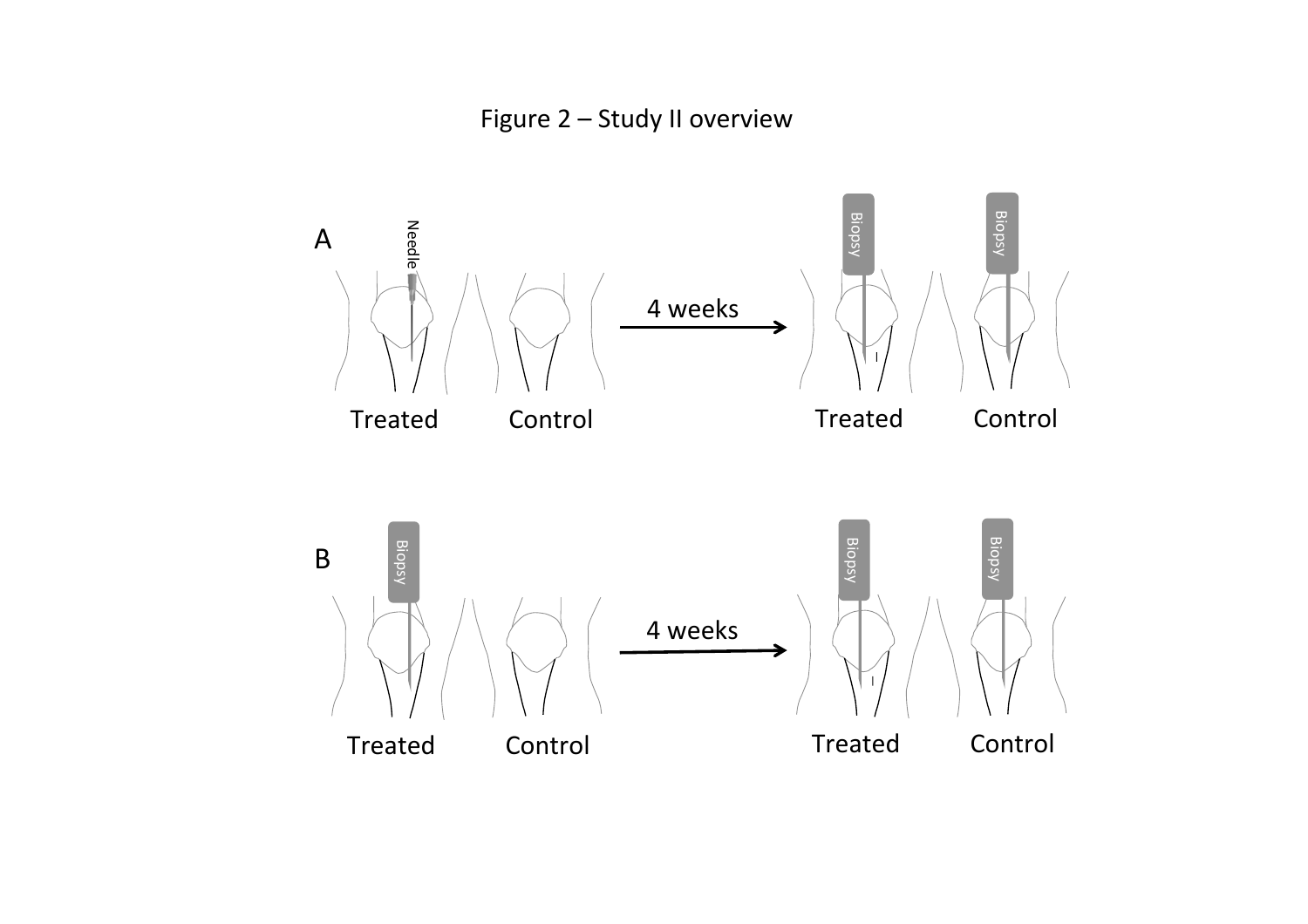Figure 2 - Study II overview

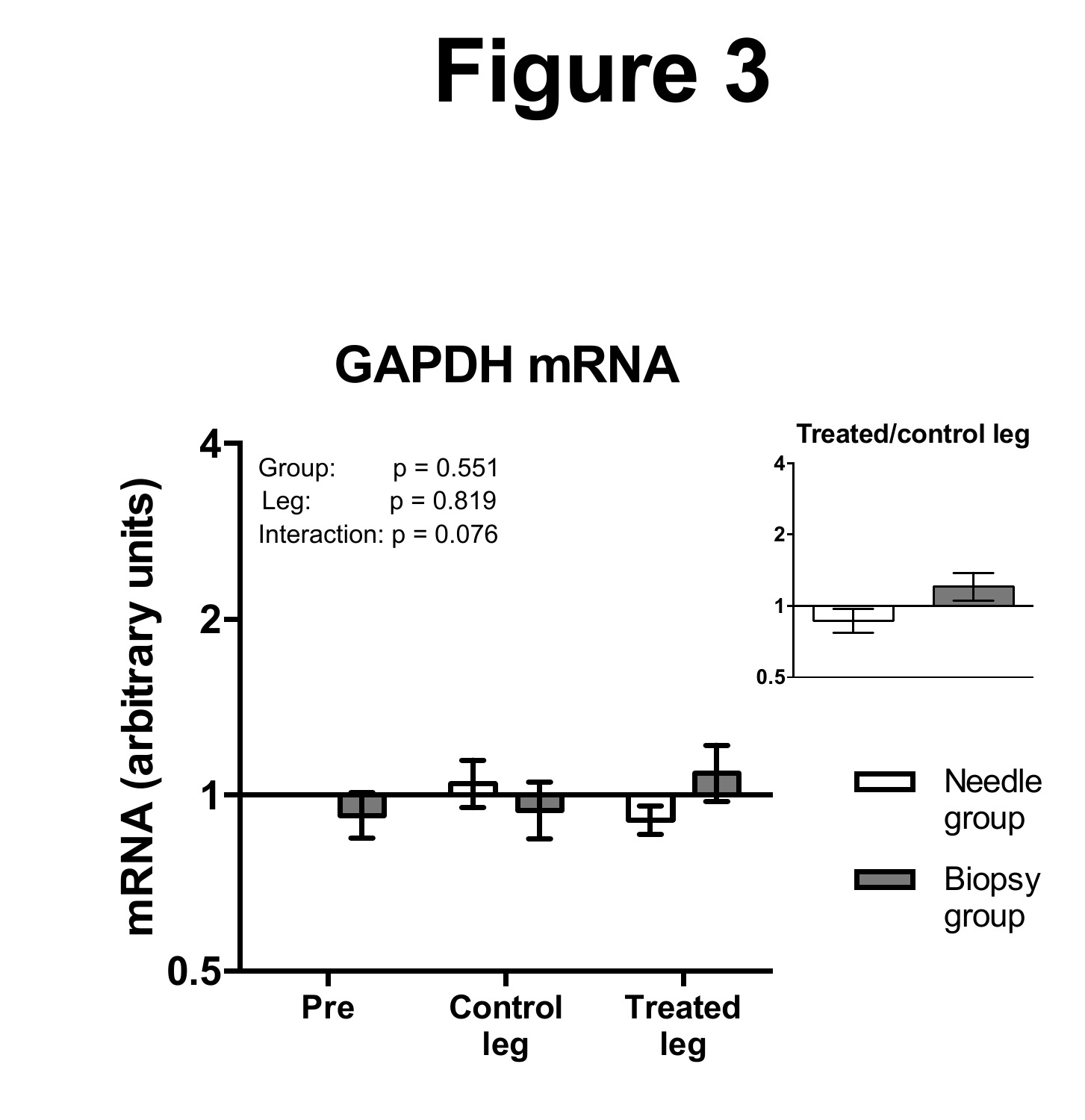## **GAPDH mRNA**

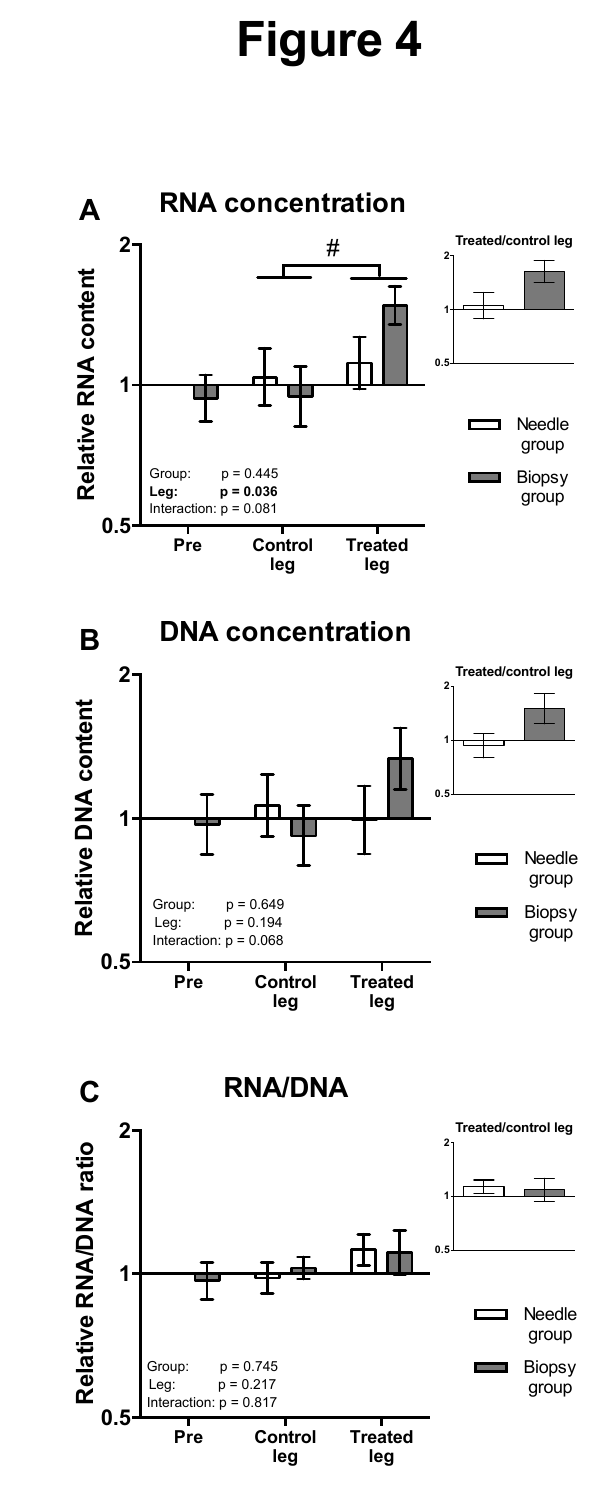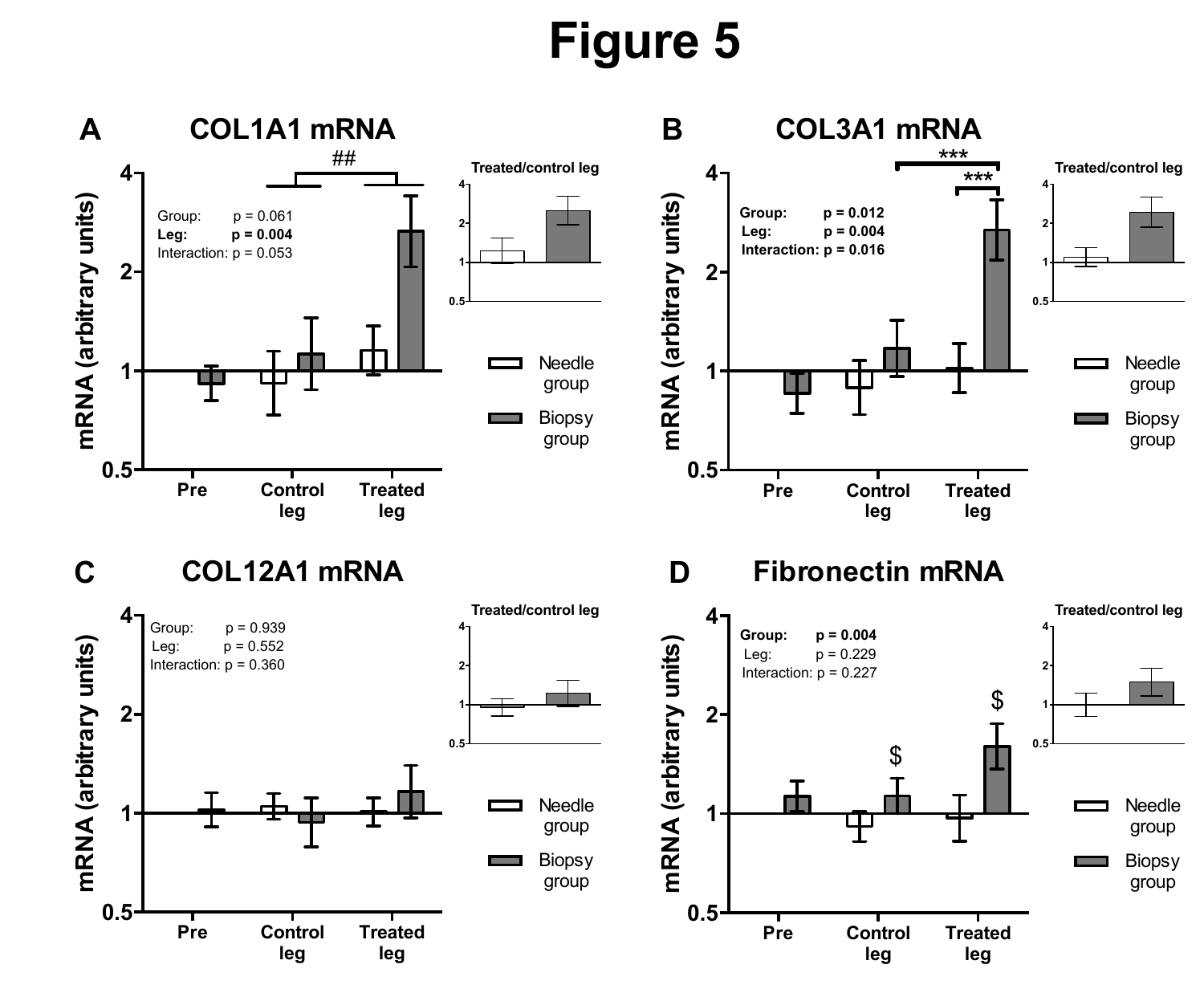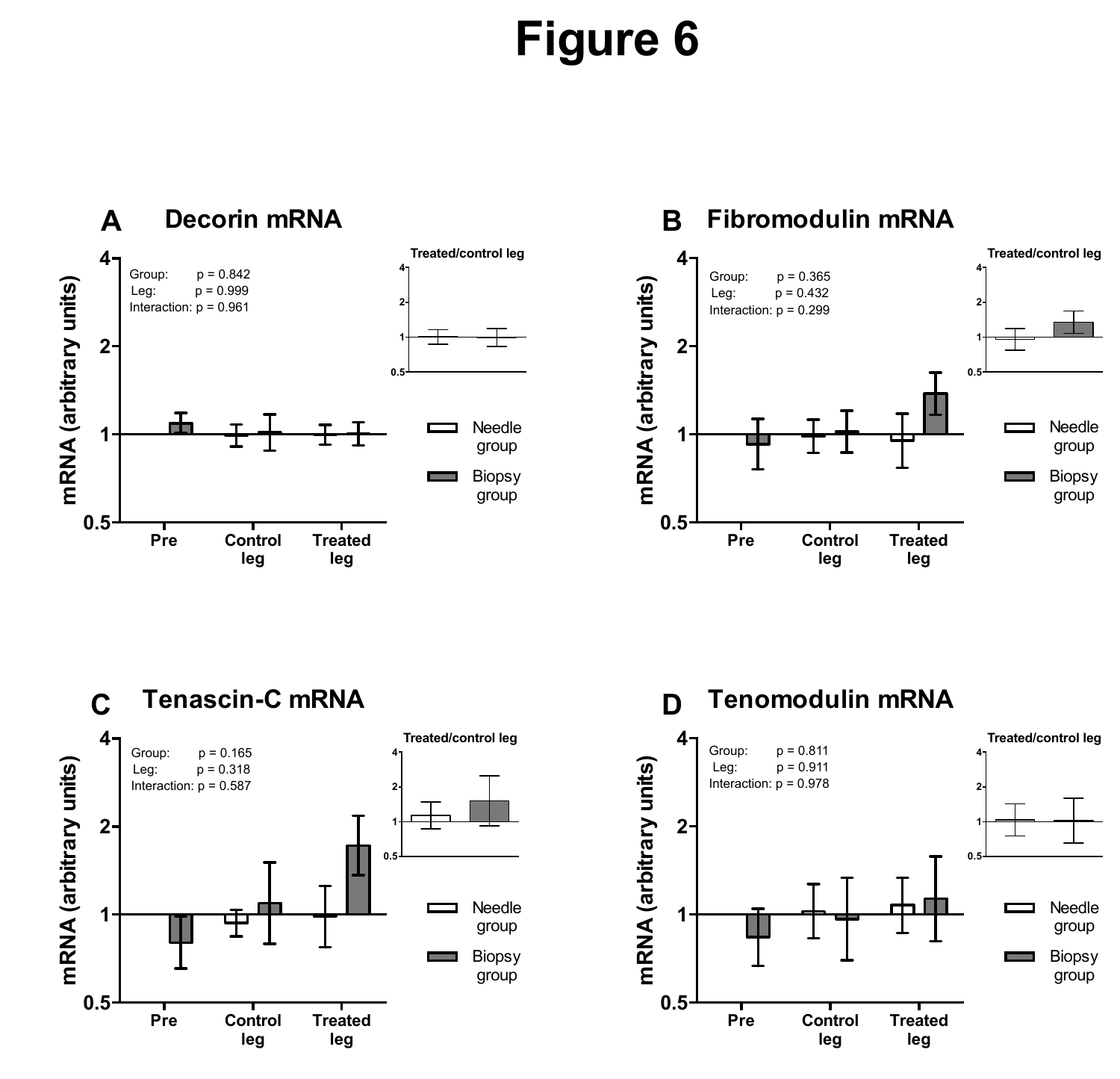

### **Fibromodulin mRNA**







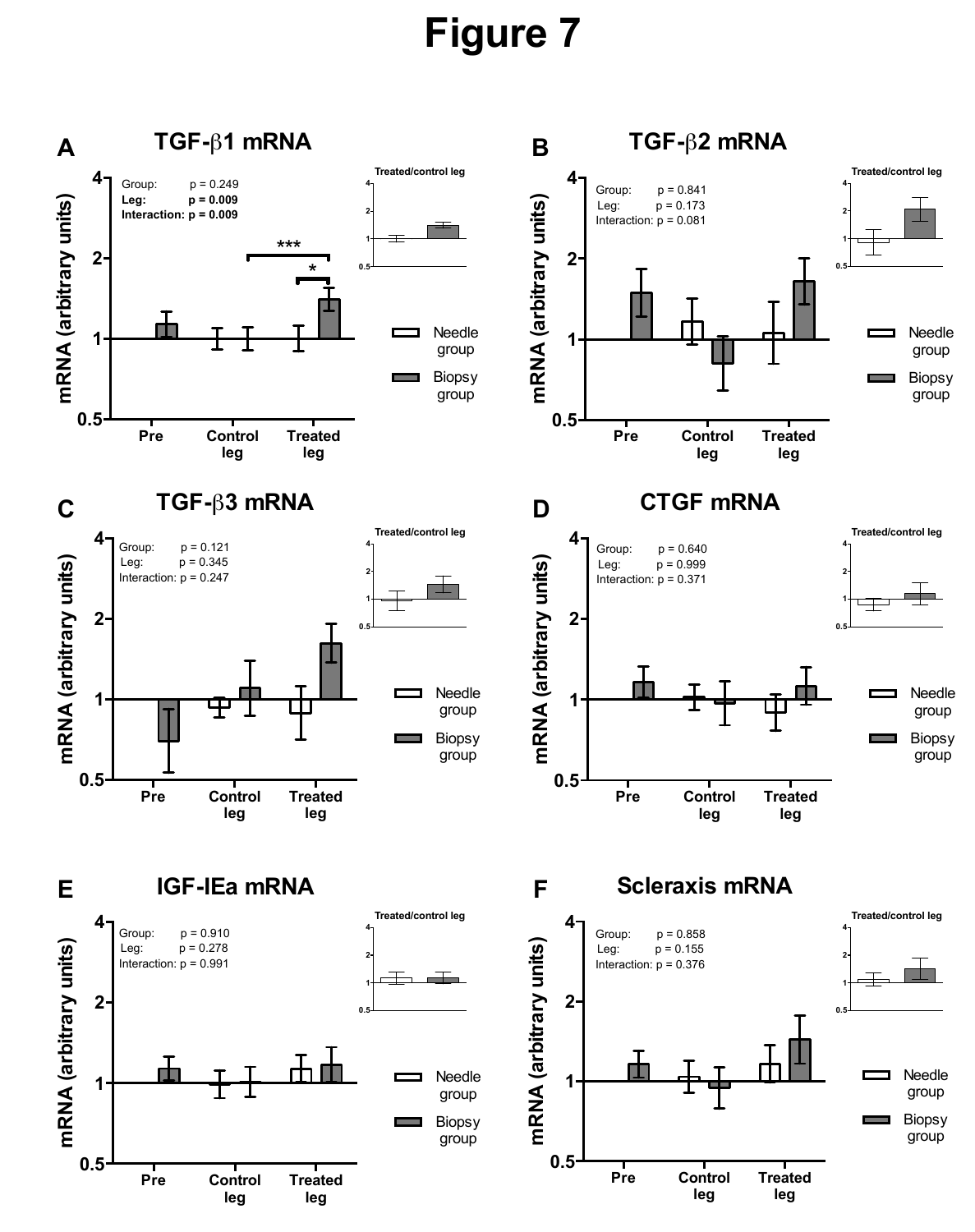